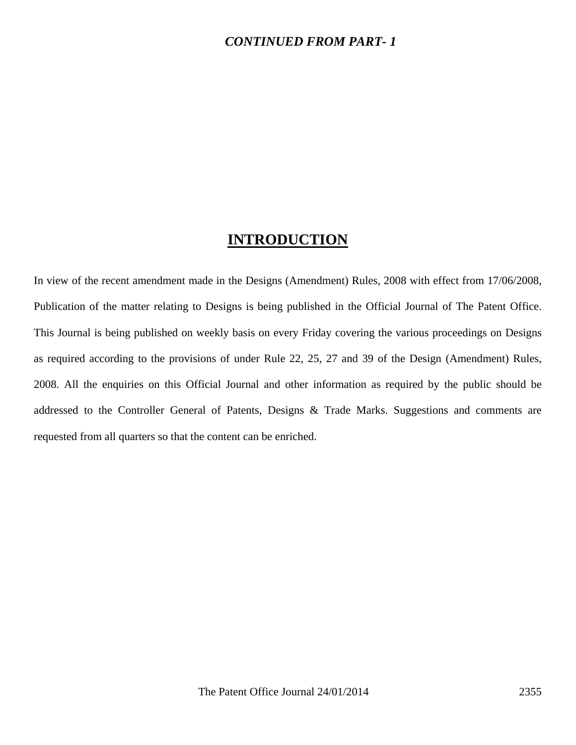### *CONTINUED FROM PART- 1*

## **INTRODUCTION**

In view of the recent amendment made in the Designs (Amendment) Rules, 2008 with effect from 17/06/2008, Publication of the matter relating to Designs is being published in the Official Journal of The Patent Office. This Journal is being published on weekly basis on every Friday covering the various proceedings on Designs as required according to the provisions of under Rule 22, 25, 27 and 39 of the Design (Amendment) Rules, 2008. All the enquiries on this Official Journal and other information as required by the public should be addressed to the Controller General of Patents, Designs & Trade Marks. Suggestions and comments are requested from all quarters so that the content can be enriched.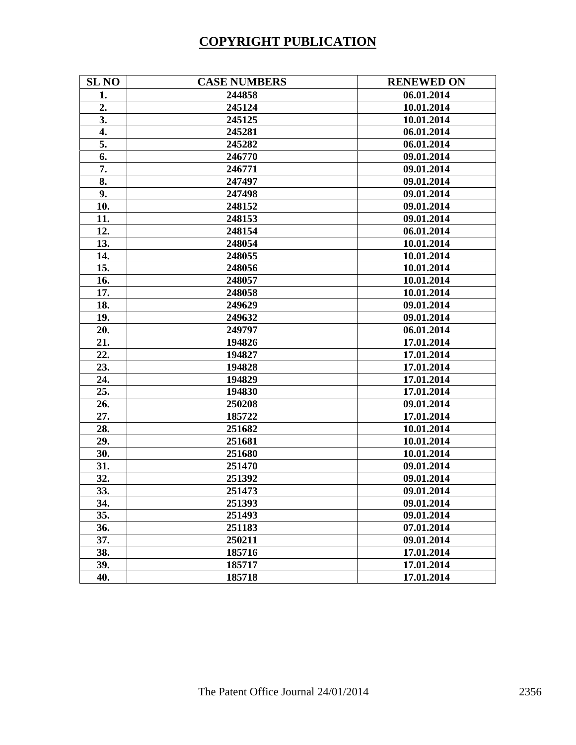# **COPYRIGHT PUBLICATION**

| <b>SL NO</b> | <b>CASE NUMBERS</b> | <b>RENEWED ON</b> |
|--------------|---------------------|-------------------|
| 1.           | 244858              | 06.01.2014        |
| 2.           | 245124              | 10.01.2014        |
| 3.           | 245125              | 10.01.2014        |
| 4.           | 245281              | 06.01.2014        |
| 5.           | 245282              | 06.01.2014        |
| 6.           | 246770              | 09.01.2014        |
| 7.           | 246771              | 09.01.2014        |
| 8.           | 247497              | 09.01.2014        |
| 9.           | 247498              | 09.01.2014        |
| 10.          | 248152              | 09.01.2014        |
| 11.          | 248153              | 09.01.2014        |
| 12.          | 248154              | 06.01.2014        |
| 13.          | 248054              | 10.01.2014        |
| 14.          | 248055              | 10.01.2014        |
| 15.          | 248056              | 10.01.2014        |
| 16.          | 248057              | 10.01.2014        |
| 17.          | 248058              | 10.01.2014        |
| 18.          | 249629              | 09.01.2014        |
| 19.          | 249632              | 09.01.2014        |
| 20.          | 249797              | 06.01.2014        |
| 21.          | 194826              | 17.01.2014        |
| 22.          | 194827              | 17.01.2014        |
| 23.          | 194828              | 17.01.2014        |
| 24.          | 194829              | 17.01.2014        |
| 25.          | 194830              | 17.01.2014        |
| 26.          | 250208              | 09.01.2014        |
| 27.          | 185722              | 17.01.2014        |
| 28.          | 251682              | 10.01.2014        |
| 29.          | 251681              | 10.01.2014        |
| 30.          | 251680              | 10.01.2014        |
| 31.          | 251470              | 09.01.2014        |
| 32.          | 251392              | 09.01.2014        |
| 33.          | 251473              | 09.01.2014        |
| 34.          | 251393              | 09.01.2014        |
| 35.          | 251493              | 09.01.2014        |
| 36.          | 251183              | 07.01.2014        |
| 37.          | 250211              | 09.01.2014        |
| 38.          | 185716              | 17.01.2014        |
| 39.          | 185717              | 17.01.2014        |
| 40.          | 185718              | 17.01.2014        |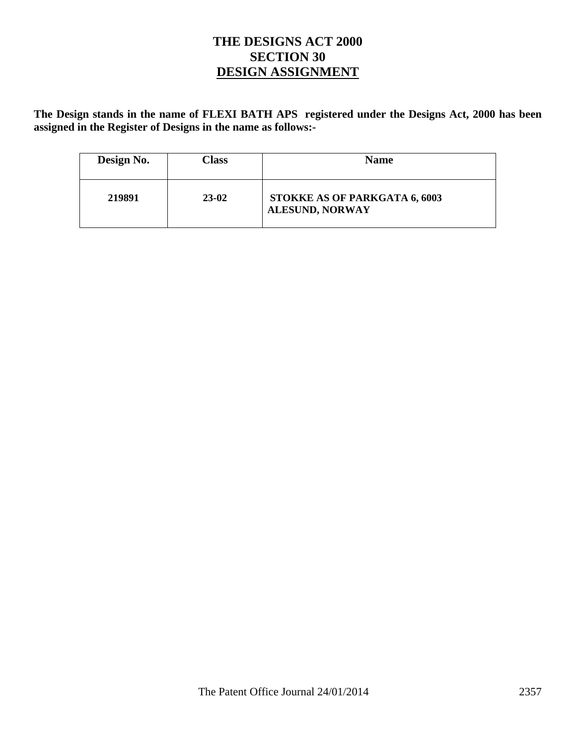## **THE DESIGNS ACT 2000 SECTION 30 DESIGN ASSIGNMENT**

**The Design stands in the name of FLEXI BATH APS registered under the Designs Act, 2000 has been assigned in the Register of Designs in the name as follows:-** 

| Design No. | Class     | <b>Name</b>                                             |
|------------|-----------|---------------------------------------------------------|
| 219891     | $23 - 02$ | STOKKE AS OF PARKGATA 6, 6003<br><b>ALESUND, NORWAY</b> |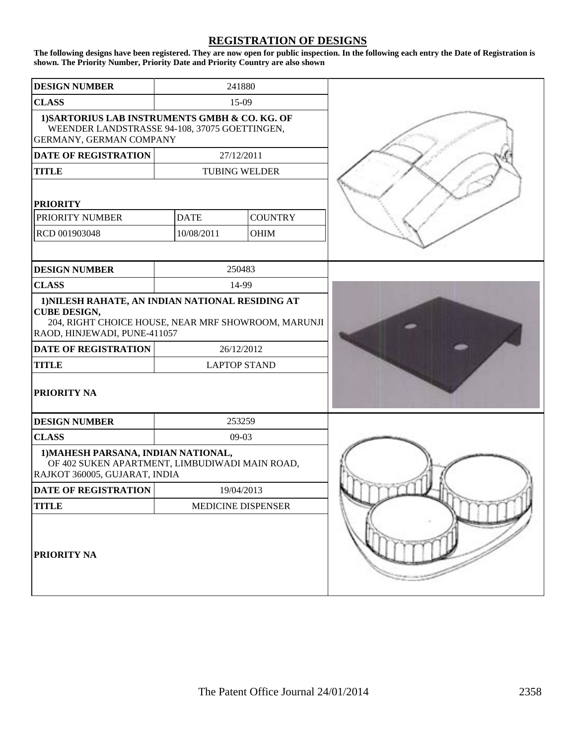#### **REGISTRATION OF DESIGNS**

**The following designs have been registered. They are now open for public inspection. In the following each entry the Date of Registration is shown. The Priority Number, Priority Date and Priority Country are also shown**

| <b>DESIGN NUMBER</b>                                                                                                                                           | 241880               |                |  |
|----------------------------------------------------------------------------------------------------------------------------------------------------------------|----------------------|----------------|--|
| <b>CLASS</b>                                                                                                                                                   | 15-09                |                |  |
| 1) SARTORIUS LAB INSTRUMENTS GMBH & CO. KG. OF<br>WEENDER LANDSTRASSE 94-108, 37075 GOETTINGEN,<br>GERMANY, GERMAN COMPANY                                     |                      |                |  |
| <b>DATE OF REGISTRATION</b>                                                                                                                                    | 27/12/2011           |                |  |
| <b>TITLE</b>                                                                                                                                                   | <b>TUBING WELDER</b> |                |  |
| <b>PRIORITY</b>                                                                                                                                                |                      |                |  |
| PRIORITY NUMBER                                                                                                                                                | <b>DATE</b>          | <b>COUNTRY</b> |  |
| RCD 001903048                                                                                                                                                  | 10/08/2011           | <b>OHIM</b>    |  |
|                                                                                                                                                                |                      |                |  |
| <b>DESIGN NUMBER</b>                                                                                                                                           | 250483               |                |  |
| <b>CLASS</b>                                                                                                                                                   | 14-99                |                |  |
| 1) NILESH RAHATE, AN INDIAN NATIONAL RESIDING AT<br><b>CUBE DESIGN,</b><br>204, RIGHT CHOICE HOUSE, NEAR MRF SHOWROOM, MARUNJI<br>RAOD, HINJEWADI, PUNE-411057 |                      |                |  |
| <b>DATE OF REGISTRATION</b>                                                                                                                                    | 26/12/2012           |                |  |
| <b>TITLE</b>                                                                                                                                                   | <b>LAPTOP STAND</b>  |                |  |
| <b>PRIORITY NA</b>                                                                                                                                             |                      |                |  |
| <b>DESIGN NUMBER</b>                                                                                                                                           | 253259               |                |  |
| <b>CLASS</b>                                                                                                                                                   | 09-03                |                |  |
| 1) MAHESH PARSANA, INDIAN NATIONAL,<br>OF 402 SUKEN APARTMENT, LIMBUDIWADI MAIN ROAD,<br>RAJKOT 360005, GUJARAT, INDIA                                         |                      |                |  |
| <b>DATE OF REGISTRATION</b>                                                                                                                                    | 19/04/2013           |                |  |
| <b>TITLE</b>                                                                                                                                                   | MEDICINE DISPENSER   |                |  |
| <b>PRIORITY NA</b>                                                                                                                                             |                      |                |  |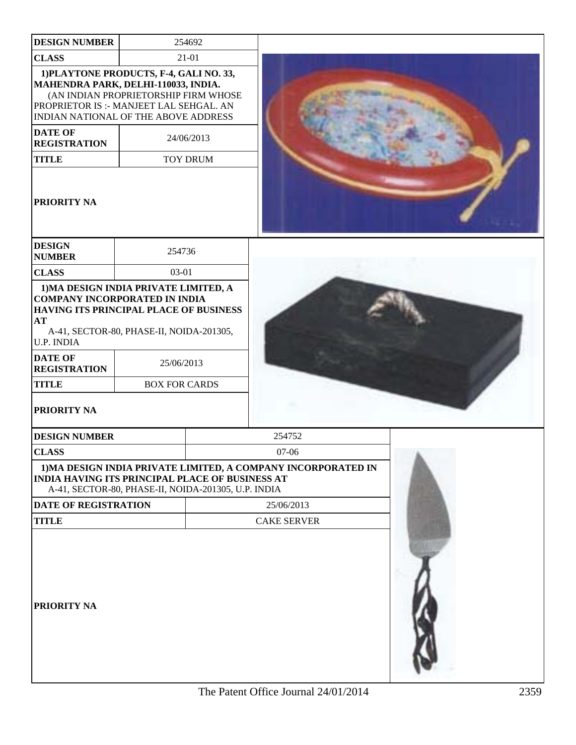| <b>DESIGN NUMBER</b>                                                                                                                                                                                      |                      | 254692          |                                                                             |  |
|-----------------------------------------------------------------------------------------------------------------------------------------------------------------------------------------------------------|----------------------|-----------------|-----------------------------------------------------------------------------|--|
| <b>CLASS</b>                                                                                                                                                                                              |                      | $21 - 01$       |                                                                             |  |
| 1) PLAYTONE PRODUCTS, F-4, GALI NO. 33,<br>MAHENDRA PARK, DELHI-110033, INDIA.<br>(AN INDIAN PROPRIETORSHIP FIRM WHOSE<br>PROPRIETOR IS :- MANJEET LAL SEHGAL. AN<br>INDIAN NATIONAL OF THE ABOVE ADDRESS |                      |                 |                                                                             |  |
| <b>DATE OF</b><br><b>REGISTRATION</b>                                                                                                                                                                     |                      | 24/06/2013      |                                                                             |  |
| <b>TITLE</b>                                                                                                                                                                                              |                      | <b>TOY DRUM</b> |                                                                             |  |
| PRIORITY NA                                                                                                                                                                                               |                      |                 |                                                                             |  |
| <b>DESIGN</b><br><b>NUMBER</b>                                                                                                                                                                            | 254736               |                 |                                                                             |  |
| <b>CLASS</b>                                                                                                                                                                                              | 03-01                |                 |                                                                             |  |
| <b>COMPANY INCORPORATED IN INDIA</b><br>HAVING ITS PRINCIPAL PLACE OF BUSINESS<br>AT<br>A-41, SECTOR-80, PHASE-II, NOIDA-201305,<br>U.P. INDIA<br><b>DATE OF</b>                                          |                      |                 |                                                                             |  |
| <b>REGISTRATION</b>                                                                                                                                                                                       | 25/06/2013           |                 |                                                                             |  |
| <b>TITLE</b><br>PRIORITY NA                                                                                                                                                                               | <b>BOX FOR CARDS</b> |                 |                                                                             |  |
| <b>DESIGN NUMBER</b>                                                                                                                                                                                      |                      |                 | 254752                                                                      |  |
| <b>CLASS</b>                                                                                                                                                                                              |                      |                 | 07-06                                                                       |  |
| <b>INDIA HAVING ITS PRINCIPAL PLACE OF BUSINESS AT</b><br>A-41, SECTOR-80, PHASE-II, NOIDA-201305, U.P. INDIA<br><b>DATE OF REGISTRATION</b>                                                              |                      |                 | 1) MA DESIGN INDIA PRIVATE LIMITED, A COMPANY INCORPORATED IN<br>25/06/2013 |  |
| <b>TITLE</b>                                                                                                                                                                                              |                      |                 | <b>CAKE SERVER</b>                                                          |  |
| PRIORITY NA                                                                                                                                                                                               |                      |                 |                                                                             |  |

ı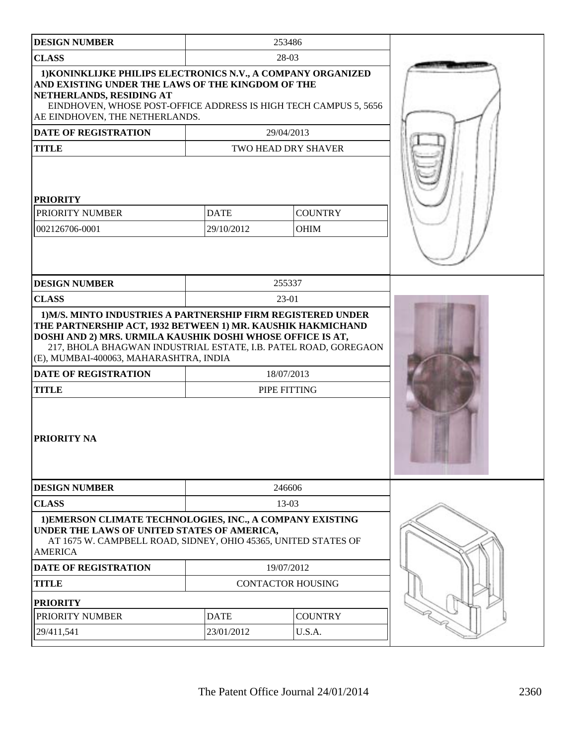|                                                                                                                                                                                                                                                                                                             |             | 253486                     |  |
|-------------------------------------------------------------------------------------------------------------------------------------------------------------------------------------------------------------------------------------------------------------------------------------------------------------|-------------|----------------------------|--|
| <b>DESIGN NUMBER</b>                                                                                                                                                                                                                                                                                        |             |                            |  |
| <b>CLASS</b><br>1) KONINKLIJKE PHILIPS ELECTRONICS N.V., A COMPANY ORGANIZED<br>AND EXISTING UNDER THE LAWS OF THE KINGDOM OF THE<br>NETHERLANDS, RESIDING AT<br>EINDHOVEN, WHOSE POST-OFFICE ADDRESS IS HIGH TECH CAMPUS 5, 5656                                                                           |             | 28-03                      |  |
| AE EINDHOVEN, THE NETHERLANDS.                                                                                                                                                                                                                                                                              |             |                            |  |
| DATE OF REGISTRATION                                                                                                                                                                                                                                                                                        |             | 29/04/2013                 |  |
| <b>TITLE</b><br><b>PRIORITY</b>                                                                                                                                                                                                                                                                             |             | TWO HEAD DRY SHAVER        |  |
| PRIORITY NUMBER                                                                                                                                                                                                                                                                                             | <b>DATE</b> | <b>COUNTRY</b>             |  |
| 002126706-0001                                                                                                                                                                                                                                                                                              | 29/10/2012  | <b>OHIM</b>                |  |
|                                                                                                                                                                                                                                                                                                             |             |                            |  |
| <b>DESIGN NUMBER</b>                                                                                                                                                                                                                                                                                        |             | 255337                     |  |
| <b>CLASS</b>                                                                                                                                                                                                                                                                                                |             | 23-01                      |  |
| THE PARTNERSHIP ACT, 1932 BETWEEN 1) MR. KAUSHIK HAKMICHAND<br>DOSHI AND 2) MRS. URMILA KAUSHIK DOSHI WHOSE OFFICE IS AT,<br>217, BHOLA BHAGWAN INDUSTRIAL ESTATE, I.B. PATEL ROAD, GOREGAON<br>(E), MUMBAI-400063, MAHARASHTRA, INDIA<br><b>DATE OF REGISTRATION</b><br><b>TITLE</b><br><b>PRIORITY NA</b> |             | 18/07/2013<br>PIPE FITTING |  |
| <b>DESIGN NUMBER</b>                                                                                                                                                                                                                                                                                        |             | 246606                     |  |
| <b>CLASS</b>                                                                                                                                                                                                                                                                                                |             | 13-03                      |  |
| 1) EMERSON CLIMATE TECHNOLOGIES, INC., A COMPANY EXISTING<br>UNDER THE LAWS OF UNITED STATES OF AMERICA,<br>AT 1675 W. CAMPBELL ROAD, SIDNEY, OHIO 45365, UNITED STATES OF<br><b>AMERICA</b>                                                                                                                |             |                            |  |
| <b>DATE OF REGISTRATION</b>                                                                                                                                                                                                                                                                                 |             | 19/07/2012                 |  |
| <b>TITLE</b>                                                                                                                                                                                                                                                                                                |             | <b>CONTACTOR HOUSING</b>   |  |
| <b>PRIORITY</b>                                                                                                                                                                                                                                                                                             |             |                            |  |
| PRIORITY NUMBER                                                                                                                                                                                                                                                                                             | <b>DATE</b> | <b>COUNTRY</b>             |  |
| 29/411,541                                                                                                                                                                                                                                                                                                  | 23/01/2012  | U.S.A.                     |  |
|                                                                                                                                                                                                                                                                                                             |             |                            |  |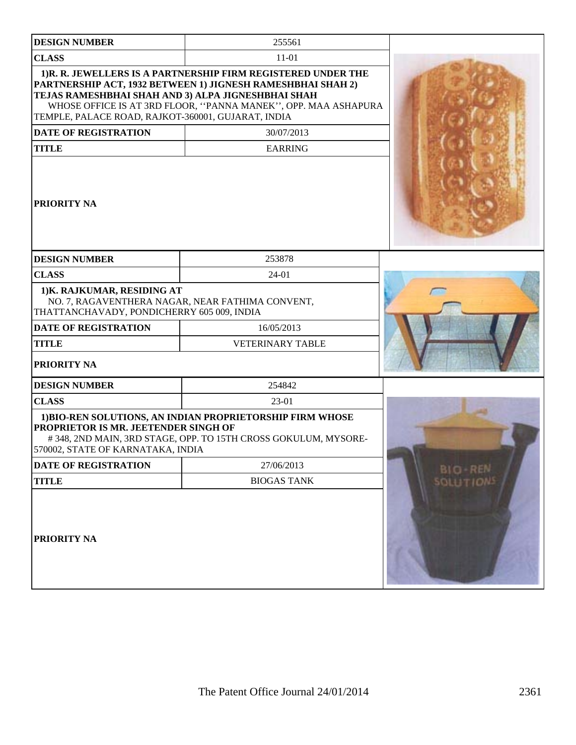| <b>DESIGN NUMBER</b>                                                                                                          | 255561                                                                                                                                                                                        |                  |
|-------------------------------------------------------------------------------------------------------------------------------|-----------------------------------------------------------------------------------------------------------------------------------------------------------------------------------------------|------------------|
| <b>CLASS</b>                                                                                                                  | $11 - 01$                                                                                                                                                                                     |                  |
| TEJAS RAMESHBHAI SHAH AND 3) ALPA JIGNESHBHAI SHAH<br>TEMPLE, PALACE ROAD, RAJKOT-360001, GUJARAT, INDIA                      | 1)R. R. JEWELLERS IS A PARTNERSHIP FIRM REGISTERED UNDER THE<br>PARTNERSHIP ACT, 1932 BETWEEN 1) JIGNESH RAMESHBHAI SHAH 2)<br>WHOSE OFFICE IS AT 3RD FLOOR, "PANNA MANEK", OPP. MAA ASHAPURA |                  |
| <b>DATE OF REGISTRATION</b>                                                                                                   | 30/07/2013                                                                                                                                                                                    |                  |
| <b>TITLE</b>                                                                                                                  | <b>EARRING</b>                                                                                                                                                                                |                  |
| <b>PRIORITY NA</b>                                                                                                            |                                                                                                                                                                                               |                  |
| <b>DESIGN NUMBER</b>                                                                                                          | 253878                                                                                                                                                                                        |                  |
| <b>CLASS</b>                                                                                                                  | $24 - 01$                                                                                                                                                                                     |                  |
| 1) K. RAJKUMAR, RESIDING AT<br>NO. 7, RAGAVENTHERA NAGAR, NEAR FATHIMA CONVENT,<br>THATTANCHAVADY, PONDICHERRY 605 009, INDIA |                                                                                                                                                                                               |                  |
| <b>DATE OF REGISTRATION</b>                                                                                                   | 16/05/2013                                                                                                                                                                                    |                  |
| <b>TITLE</b>                                                                                                                  | <b>VETERINARY TABLE</b>                                                                                                                                                                       |                  |
| <b>PRIORITY NA</b>                                                                                                            |                                                                                                                                                                                               |                  |
| <b>DESIGN NUMBER</b>                                                                                                          | 254842                                                                                                                                                                                        |                  |
| <b>CLASS</b>                                                                                                                  | 23-01                                                                                                                                                                                         |                  |
| PROPRIETOR IS MR. JEETENDER SINGH OF<br>570002, STATE OF KARNATAKA, INDIA                                                     | 1) BIO-REN SOLUTIONS, AN INDIAN PROPRIETORSHIP FIRM WHOSE<br>#348, 2ND MAIN, 3RD STAGE, OPP. TO 15TH CROSS GOKULUM, MYSORE-                                                                   |                  |
| DATE OF REGISTRATION                                                                                                          | 27/06/2013                                                                                                                                                                                    | <b>BIO-REN</b>   |
| <b>TITLE</b>                                                                                                                  | <b>BIOGAS TANK</b>                                                                                                                                                                            | <b>SOLUTIONS</b> |
| <b>PRIORITY NA</b>                                                                                                            |                                                                                                                                                                                               |                  |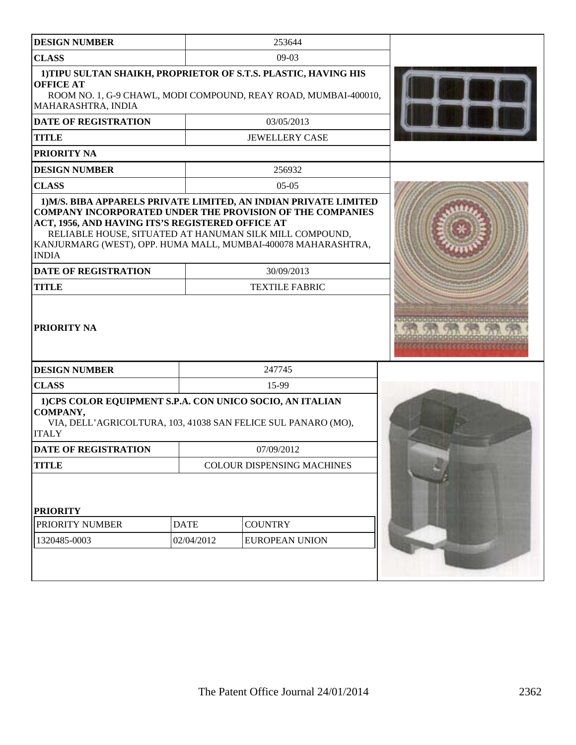| <b>DESIGN NUMBER</b>                                                                                                        |             | 253644                                                                                                                             |  |
|-----------------------------------------------------------------------------------------------------------------------------|-------------|------------------------------------------------------------------------------------------------------------------------------------|--|
| <b>CLASS</b>                                                                                                                |             | $09-03$                                                                                                                            |  |
| <b>OFFICE AT</b><br>MAHARASHTRA, INDIA                                                                                      |             | 1) TIPU SULTAN SHAIKH, PROPRIETOR OF S.T.S. PLASTIC, HAVING HIS<br>ROOM NO. 1, G-9 CHAWL, MODI COMPOUND, REAY ROAD, MUMBAI-400010, |  |
| <b>DATE OF REGISTRATION</b>                                                                                                 |             | 03/05/2013                                                                                                                         |  |
| <b>TITLE</b>                                                                                                                |             | <b>JEWELLERY CASE</b>                                                                                                              |  |
| <b>PRIORITY NA</b>                                                                                                          |             |                                                                                                                                    |  |
| <b>DESIGN NUMBER</b>                                                                                                        |             | 256932                                                                                                                             |  |
| <b>CLASS</b>                                                                                                                |             | $05-05$                                                                                                                            |  |
| ACT, 1956, AND HAVING ITS'S REGISTERED OFFICE AT<br>RELIABLE HOUSE, SITUATED AT HANUMAN SILK MILL COMPOUND,<br><b>INDIA</b> |             | <b>COMPANY INCORPORATED UNDER THE PROVISION OF THE COMPANIES</b><br>KANJURMARG (WEST), OPP. HUMA MALL, MUMBAI-400078 MAHARASHTRA,  |  |
| <b>DATE OF REGISTRATION</b>                                                                                                 |             | 30/09/2013                                                                                                                         |  |
| <b>TITLE</b>                                                                                                                |             | <b>TEXTILE FABRIC</b>                                                                                                              |  |
| <b>PRIORITY NA</b>                                                                                                          |             |                                                                                                                                    |  |
| <b>DESIGN NUMBER</b>                                                                                                        |             | 247745                                                                                                                             |  |
| <b>CLASS</b>                                                                                                                |             | 15-99                                                                                                                              |  |
| 1)CPS COLOR EQUIPMENT S.P.A. CON UNICO SOCIO, AN ITALIAN<br>COMPANY,<br><b>ITALY</b>                                        |             | VIA, DELL'AGRICOLTURA, 103, 41038 SAN FELICE SUL PANARO (MO),                                                                      |  |
| <b>DATE OF REGISTRATION</b>                                                                                                 |             | 07/09/2012                                                                                                                         |  |
| <b>TITLE</b>                                                                                                                |             | <b>COLOUR DISPENSING MACHINES</b>                                                                                                  |  |
| <b>PRIORITY</b><br>PRIORITY NUMBER                                                                                          | <b>DATE</b> | <b>COUNTRY</b>                                                                                                                     |  |
| 1320485-0003                                                                                                                | 02/04/2012  | <b>EUROPEAN UNION</b>                                                                                                              |  |
|                                                                                                                             |             |                                                                                                                                    |  |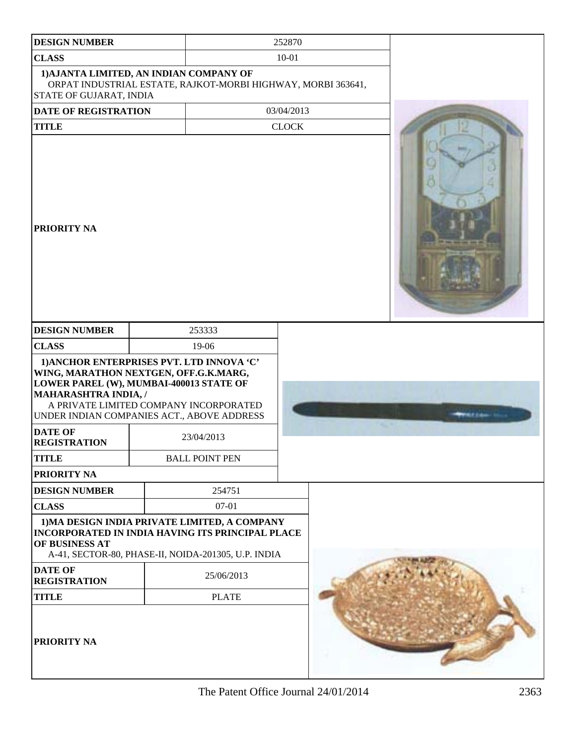| <b>DESIGN NUMBER</b>                                                                                |                                                                                                                                                                                                                                                              |              |                           |
|-----------------------------------------------------------------------------------------------------|--------------------------------------------------------------------------------------------------------------------------------------------------------------------------------------------------------------------------------------------------------------|--------------|---------------------------|
| <b>CLASS</b>                                                                                        |                                                                                                                                                                                                                                                              | 252870       |                           |
|                                                                                                     |                                                                                                                                                                                                                                                              | $10 - 01$    |                           |
| STATE OF GUJARAT, INDIA                                                                             | 1) AJANTA LIMITED, AN INDIAN COMPANY OF<br>ORPAT INDUSTRIAL ESTATE, RAJKOT-MORBI HIGHWAY, MORBI 363641,                                                                                                                                                      |              |                           |
| <b>DATE OF REGISTRATION</b>                                                                         |                                                                                                                                                                                                                                                              | 03/04/2013   |                           |
| <b>TITLE</b>                                                                                        |                                                                                                                                                                                                                                                              | <b>CLOCK</b> |                           |
| <b>PRIORITY NA</b>                                                                                  |                                                                                                                                                                                                                                                              |              |                           |
| <b>DESIGN NUMBER</b>                                                                                | 253333                                                                                                                                                                                                                                                       |              |                           |
| <b>CLASS</b>                                                                                        | 19-06                                                                                                                                                                                                                                                        |              |                           |
| MAHARASHTRA INDIA, /<br><b>DATE OF</b><br><b>REGISTRATION</b><br><b>TITLE</b><br><b>PRIORITY NA</b> | 1) ANCHOR ENTERPRISES PVT. LTD INNOVA 'C'<br>WING, MARATHON NEXTGEN, OFF.G.K.MARG,<br>LOWER PAREL (W), MUMBAI-400013 STATE OF<br>A PRIVATE LIMITED COMPANY INCORPORATED<br>UNDER INDIAN COMPANIES ACT., ABOVE ADDRESS<br>23/04/2013<br><b>BALL POINT PEN</b> |              | <b>M.P. Dallament Co.</b> |
| <b>DESIGN NUMBER</b>                                                                                | 254751                                                                                                                                                                                                                                                       |              |                           |
| <b>CLASS</b>                                                                                        | $07 - 01$                                                                                                                                                                                                                                                    |              |                           |
| OF BUSINESS AT                                                                                      | 1) MA DESIGN INDIA PRIVATE LIMITED, A COMPANY<br><b>INCORPORATED IN INDIA HAVING ITS PRINCIPAL PLACE</b><br>A-41, SECTOR-80, PHASE-II, NOIDA-201305, U.P. INDIA                                                                                              |              |                           |
| <b>DATE OF</b><br><b>REGISTRATION</b>                                                               | 25/06/2013                                                                                                                                                                                                                                                   |              |                           |
| <b>TITLE</b>                                                                                        | <b>PLATE</b>                                                                                                                                                                                                                                                 |              |                           |
| <b>PRIORITY NA</b>                                                                                  |                                                                                                                                                                                                                                                              |              |                           |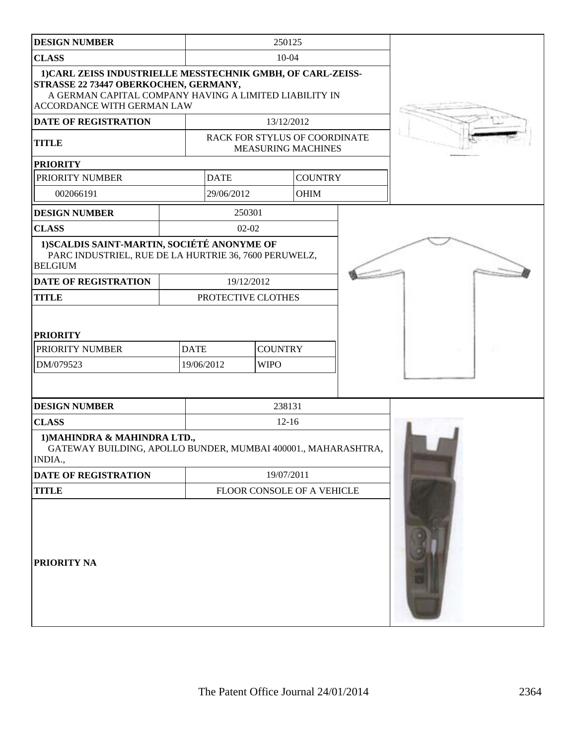| <b>DESIGN NUMBER</b>                                                                                                                                                                         |                           |                               | 250125                                                     |  |
|----------------------------------------------------------------------------------------------------------------------------------------------------------------------------------------------|---------------------------|-------------------------------|------------------------------------------------------------|--|
| <b>CLASS</b>                                                                                                                                                                                 |                           |                               | $10 - 04$                                                  |  |
| 1) CARL ZEISS INDUSTRIELLE MESSTECHNIK GMBH, OF CARL-ZEISS-<br>STRASSE 22 73447 OBERKOCHEN, GERMANY,<br>A GERMAN CAPITAL COMPANY HAVING A LIMITED LIABILITY IN<br>ACCORDANCE WITH GERMAN LAW |                           |                               |                                                            |  |
| DATE OF REGISTRATION                                                                                                                                                                         |                           |                               | 13/12/2012                                                 |  |
| <b>TITLE</b>                                                                                                                                                                                 |                           |                               | RACK FOR STYLUS OF COORDINATE<br><b>MEASURING MACHINES</b> |  |
| <b>PRIORITY</b>                                                                                                                                                                              |                           |                               |                                                            |  |
| PRIORITY NUMBER                                                                                                                                                                              | <b>DATE</b>               |                               | <b>COUNTRY</b>                                             |  |
| 002066191                                                                                                                                                                                    | 29/06/2012                |                               | <b>OHIM</b>                                                |  |
| <b>DESIGN NUMBER</b>                                                                                                                                                                         | 250301                    |                               |                                                            |  |
| <b>CLASS</b>                                                                                                                                                                                 | $02-02$                   |                               |                                                            |  |
| 1) SCALDIS SAINT-MARTIN, SOCIÉTÉ ANONYME OF<br>PARC INDUSTRIEL, RUE DE LA HURTRIE 36, 7600 PERUWELZ,<br><b>BELGIUM</b>                                                                       |                           |                               |                                                            |  |
| DATE OF REGISTRATION                                                                                                                                                                         | 19/12/2012                |                               |                                                            |  |
| <b>TITLE</b>                                                                                                                                                                                 | PROTECTIVE CLOTHES        |                               |                                                            |  |
| <b>PRIORITY</b><br>PRIORITY NUMBER<br>DM/079523                                                                                                                                              | <b>DATE</b><br>19/06/2012 | <b>COUNTRY</b><br><b>WIPO</b> |                                                            |  |
| <b>DESIGN NUMBER</b>                                                                                                                                                                         |                           |                               | 238131                                                     |  |
| <b>CLASS</b>                                                                                                                                                                                 |                           |                               | $12 - 16$                                                  |  |
| 1) MAHINDRA & MAHINDRA LTD.,<br>GATEWAY BUILDING, APOLLO BUNDER, MUMBAI 400001., MAHARASHTRA,<br>INDIA.,                                                                                     |                           |                               |                                                            |  |
| DATE OF REGISTRATION                                                                                                                                                                         |                           |                               | 19/07/2011                                                 |  |
| <b>TITLE</b>                                                                                                                                                                                 |                           |                               | FLOOR CONSOLE OF A VEHICLE                                 |  |
| PRIORITY NA                                                                                                                                                                                  |                           |                               |                                                            |  |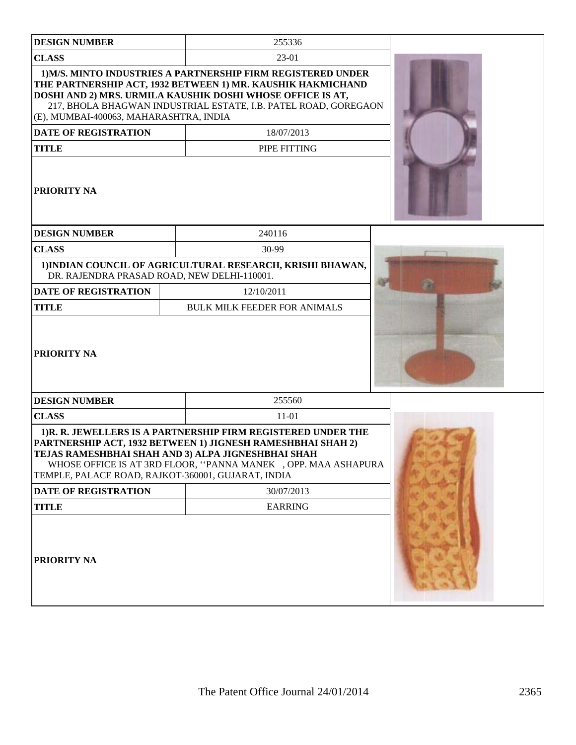| <b>DESIGN NUMBER</b>                               | 255336                                                                                                                                                                                                                                                       |  |
|----------------------------------------------------|--------------------------------------------------------------------------------------------------------------------------------------------------------------------------------------------------------------------------------------------------------------|--|
| <b>CLASS</b>                                       | 23-01                                                                                                                                                                                                                                                        |  |
| (E), MUMBAI-400063, MAHARASHTRA, INDIA             | 1) M/S. MINTO INDUSTRIES A PARTNERSHIP FIRM REGISTERED UNDER<br>THE PARTNERSHIP ACT, 1932 BETWEEN 1) MR. KAUSHIK HAKMICHAND<br>DOSHI AND 2) MRS. URMILA KAUSHIK DOSHI WHOSE OFFICE IS AT,<br>217, BHOLA BHAGWAN INDUSTRIAL ESTATE, I.B. PATEL ROAD, GOREGAON |  |
| <b>DATE OF REGISTRATION</b>                        | 18/07/2013                                                                                                                                                                                                                                                   |  |
| <b>TITLE</b>                                       | PIPE FITTING                                                                                                                                                                                                                                                 |  |
| <b>PRIORITY NA</b>                                 |                                                                                                                                                                                                                                                              |  |
| <b>DESIGN NUMBER</b>                               | 240116                                                                                                                                                                                                                                                       |  |
| <b>CLASS</b>                                       | 30-99                                                                                                                                                                                                                                                        |  |
| DR. RAJENDRA PRASAD ROAD, NEW DELHI-110001.        | 1) INDIAN COUNCIL OF AGRICULTURAL RESEARCH, KRISHI BHAWAN,                                                                                                                                                                                                   |  |
| <b>DATE OF REGISTRATION</b>                        | 12/10/2011                                                                                                                                                                                                                                                   |  |
| <b>TITLE</b>                                       | <b>BULK MILK FEEDER FOR ANIMALS</b>                                                                                                                                                                                                                          |  |
| <b>PRIORITY NA</b>                                 |                                                                                                                                                                                                                                                              |  |
| <b>DESIGN NUMBER</b>                               | 255560                                                                                                                                                                                                                                                       |  |
| <b>CLASS</b>                                       | $11 - 01$                                                                                                                                                                                                                                                    |  |
| TEMPLE, PALACE ROAD, RAJKOT-360001, GUJARAT, INDIA | 1)R. R. JEWELLERS IS A PARTNERSHIP FIRM REGISTERED UNDER THE<br>PARTNERSHIP ACT, 1932 BETWEEN 1) JIGNESH RAMESHBHAI SHAH 2)<br>TEJAS RAMESHBHAI SHAH AND 3) ALPA JIGNESHBHAI SHAH<br>WHOSE OFFICE IS AT 3RD FLOOR, "PANNA MANEK , OPP. MAA ASHAPURA          |  |
| DATE OF REGISTRATION                               | 30/07/2013                                                                                                                                                                                                                                                   |  |
| <b>TITLE</b>                                       | <b>EARRING</b>                                                                                                                                                                                                                                               |  |
| PRIORITY NA                                        |                                                                                                                                                                                                                                                              |  |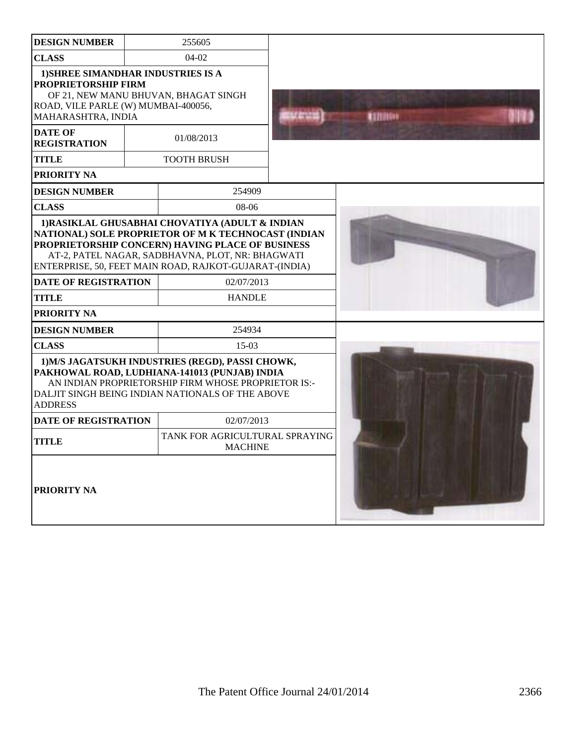| <b>DESIGN NUMBER</b>                                                                                                          | 255605                                                                                                                                                                                                                                                                                                  |                |
|-------------------------------------------------------------------------------------------------------------------------------|---------------------------------------------------------------------------------------------------------------------------------------------------------------------------------------------------------------------------------------------------------------------------------------------------------|----------------|
| <b>CLASS</b>                                                                                                                  | $04-02$                                                                                                                                                                                                                                                                                                 |                |
| 1) SHREE SIMANDHAR INDUSTRIES IS A<br>PROPRIETORSHIP FIRM<br>ROAD, VILE PARLE (W) MUMBAI-400056,<br><b>MAHARASHTRA, INDIA</b> | OF 21, NEW MANU BHUVAN, BHAGAT SINGH                                                                                                                                                                                                                                                                    | <b>TENNING</b> |
| <b>DATE OF</b><br><b>REGISTRATION</b>                                                                                         | 01/08/2013                                                                                                                                                                                                                                                                                              |                |
| TITLE                                                                                                                         | <b>TOOTH BRUSH</b>                                                                                                                                                                                                                                                                                      |                |
| PRIORITY NA                                                                                                                   |                                                                                                                                                                                                                                                                                                         |                |
| <b>DESIGN NUMBER</b>                                                                                                          | 254909                                                                                                                                                                                                                                                                                                  |                |
| <b>CLASS</b>                                                                                                                  | 08-06                                                                                                                                                                                                                                                                                                   |                |
| <b>DATE OF REGISTRATION</b><br>TITLE<br>PRIORITY NA                                                                           | 1) RASIKLAL GHUSABHAI CHOVATIYA (ADULT & INDIAN<br>NATIONAL) SOLE PROPRIETOR OF M K TECHNOCAST (INDIAN<br>PROPRIETORSHIP CONCERN) HAVING PLACE OF BUSINESS<br>AT-2, PATEL NAGAR, SADBHAVNA, PLOT, NR: BHAGWATI<br>ENTERPRISE, 50, FEET MAIN ROAD, RAJKOT-GUJARAT-(INDIA)<br>02/07/2013<br><b>HANDLE</b> |                |
| <b>DESIGN NUMBER</b>                                                                                                          | 254934                                                                                                                                                                                                                                                                                                  |                |
| <b>CLASS</b>                                                                                                                  | $15-03$                                                                                                                                                                                                                                                                                                 |                |
| <b>ADDRESS</b>                                                                                                                | 1) M/S JAGATSUKH INDUSTRIES (REGD), PASSI CHOWK,<br>PAKHOWAL ROAD, LUDHIANA-141013 (PUNJAB) INDIA<br>AN INDIAN PROPRIETORSHIP FIRM WHOSE PROPRIETOR IS:-<br>DALJIT SINGH BEING INDIAN NATIONALS OF THE ABOVE                                                                                            |                |
| DATE OF REGISTRATION                                                                                                          | 02/07/2013                                                                                                                                                                                                                                                                                              |                |
| <b>TITLE</b>                                                                                                                  | TANK FOR AGRICULTURAL SPRAYING<br><b>MACHINE</b>                                                                                                                                                                                                                                                        |                |
| <b>PRIORITY NA</b>                                                                                                            |                                                                                                                                                                                                                                                                                                         |                |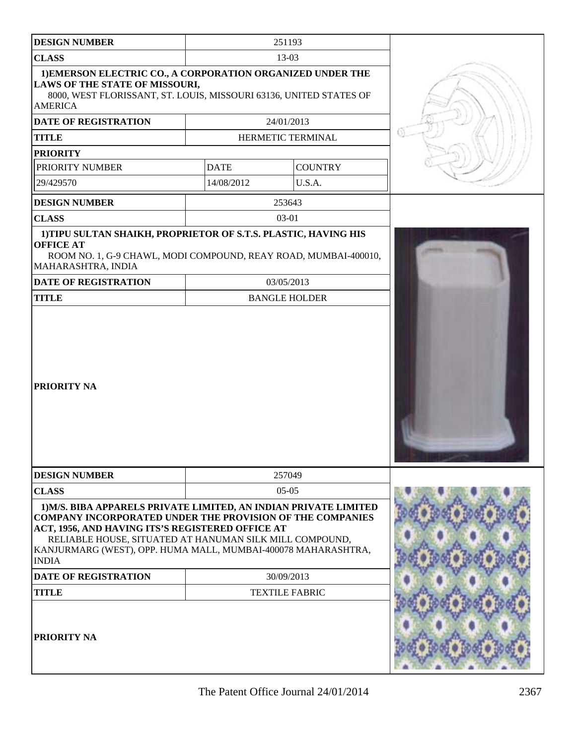| <b>DESIGN NUMBER</b>                                                                                                                                                                 |             |                      |    |
|--------------------------------------------------------------------------------------------------------------------------------------------------------------------------------------|-------------|----------------------|----|
|                                                                                                                                                                                      |             | 251193               |    |
| <b>CLASS</b>                                                                                                                                                                         |             | 13-03                |    |
| 1) EMERSON ELECTRIC CO., A CORPORATION ORGANIZED UNDER THE<br>LAWS OF THE STATE OF MISSOURI,<br>8000, WEST FLORISSANT, ST. LOUIS, MISSOURI 63136, UNITED STATES OF<br><b>AMERICA</b> |             |                      |    |
| <b>DATE OF REGISTRATION</b>                                                                                                                                                          |             | 24/01/2013           |    |
| <b>TITLE</b>                                                                                                                                                                         |             | HERMETIC TERMINAL    | O) |
| <b>PRIORITY</b>                                                                                                                                                                      |             |                      |    |
| PRIORITY NUMBER                                                                                                                                                                      | <b>DATE</b> | <b>COUNTRY</b>       |    |
| 29/429570                                                                                                                                                                            | 14/08/2012  | U.S.A.               |    |
| <b>DESIGN NUMBER</b>                                                                                                                                                                 |             | 253643               |    |
| <b>CLASS</b>                                                                                                                                                                         |             | 03-01                |    |
| 1) TIPU SULTAN SHAIKH, PROPRIETOR OF S.T.S. PLASTIC, HAVING HIS<br><b>OFFICE AT</b><br>ROOM NO. 1, G-9 CHAWL, MODI COMPOUND, REAY ROAD, MUMBAI-400010,<br>MAHARASHTRA, INDIA         |             |                      |    |
| DATE OF REGISTRATION                                                                                                                                                                 |             | 03/05/2013           |    |
| <b>TITLE</b>                                                                                                                                                                         |             | <b>BANGLE HOLDER</b> |    |
|                                                                                                                                                                                      |             |                      |    |
| PRIORITY NA                                                                                                                                                                          |             |                      |    |
|                                                                                                                                                                                      |             |                      |    |
| <b>DESIGN NUMBER</b><br><b>CLASS</b>                                                                                                                                                 |             | 257049<br>$05-05$    |    |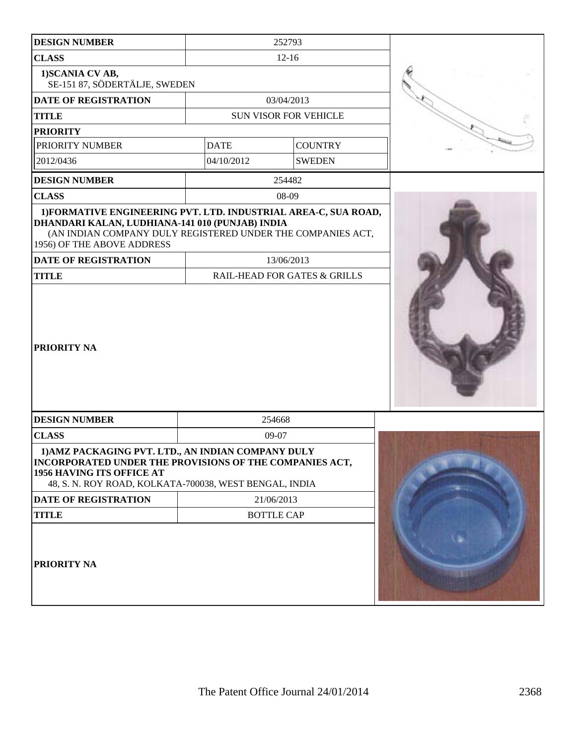| <b>DESIGN NUMBER</b>                                                                                                                                                                                 |             | 252793                                  |  |
|------------------------------------------------------------------------------------------------------------------------------------------------------------------------------------------------------|-------------|-----------------------------------------|--|
| <b>CLASS</b>                                                                                                                                                                                         |             | $12 - 16$                               |  |
| 1) SCANIA CV AB,<br>SE-151 87, SÖDERTÄLJE, SWEDEN                                                                                                                                                    |             |                                         |  |
| <b>DATE OF REGISTRATION</b>                                                                                                                                                                          |             | 03/04/2013                              |  |
| <b>TITLE</b>                                                                                                                                                                                         |             | <b>SUN VISOR FOR VEHICLE</b>            |  |
| <b>PRIORITY</b>                                                                                                                                                                                      |             |                                         |  |
| PRIORITY NUMBER                                                                                                                                                                                      | <b>DATE</b> | <b>COUNTRY</b>                          |  |
| 2012/0436                                                                                                                                                                                            | 04/10/2012  | <b>SWEDEN</b>                           |  |
| <b>DESIGN NUMBER</b>                                                                                                                                                                                 |             | 254482                                  |  |
| <b>CLASS</b>                                                                                                                                                                                         |             | 08-09                                   |  |
| DHANDARI KALAN, LUDHIANA-141 010 (PUNJAB) INDIA<br>(AN INDIAN COMPANY DULY REGISTERED UNDER THE COMPANIES ACT,<br>1956) OF THE ABOVE ADDRESS<br><b>DATE OF REGISTRATION</b>                          |             | 13/06/2013                              |  |
| <b>TITLE</b>                                                                                                                                                                                         |             | <b>RAIL-HEAD FOR GATES &amp; GRILLS</b> |  |
| <b>PRIORITY NA</b>                                                                                                                                                                                   |             |                                         |  |
| <b>DESIGN NUMBER</b>                                                                                                                                                                                 |             | 254668                                  |  |
| <b>CLASS</b>                                                                                                                                                                                         |             | 09-07                                   |  |
| 1) AMZ PACKAGING PVT. LTD., AN INDIAN COMPANY DULY<br>INCORPORATED UNDER THE PROVISIONS OF THE COMPANIES ACT,<br>1956 HAVING ITS OFFICE AT<br>48, S. N. ROY ROAD, KOLKATA-700038, WEST BENGAL, INDIA |             |                                         |  |
| DATE OF REGISTRATION                                                                                                                                                                                 |             | 21/06/2013                              |  |
| <b>TITLE</b>                                                                                                                                                                                         |             | <b>BOTTLE CAP</b>                       |  |
| <b>PRIORITY NA</b>                                                                                                                                                                                   |             |                                         |  |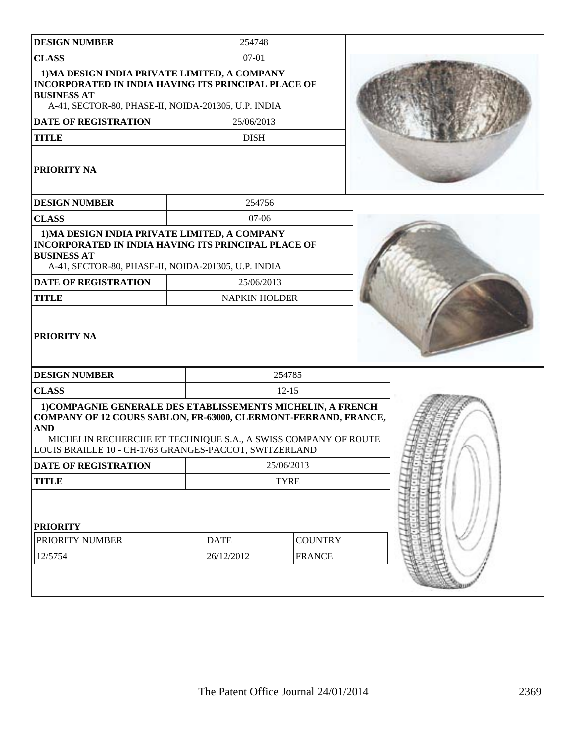| <b>DESIGN NUMBER</b>                                                                                                                                                                                                                                                     | 254748               |                |  |
|--------------------------------------------------------------------------------------------------------------------------------------------------------------------------------------------------------------------------------------------------------------------------|----------------------|----------------|--|
| <b>CLASS</b>                                                                                                                                                                                                                                                             | $07-01$              |                |  |
| 1) MA DESIGN INDIA PRIVATE LIMITED, A COMPANY<br><b>INCORPORATED IN INDIA HAVING ITS PRINCIPAL PLACE OF</b><br><b>BUSINESS AT</b><br>A-41, SECTOR-80, PHASE-II, NOIDA-201305, U.P. INDIA                                                                                 |                      |                |  |
| DATE OF REGISTRATION                                                                                                                                                                                                                                                     | 25/06/2013           |                |  |
| <b>TITLE</b>                                                                                                                                                                                                                                                             | <b>DISH</b>          |                |  |
| <b>PRIORITY NA</b>                                                                                                                                                                                                                                                       |                      |                |  |
| <b>DESIGN NUMBER</b>                                                                                                                                                                                                                                                     | 254756               |                |  |
| <b>CLASS</b>                                                                                                                                                                                                                                                             | $07-06$              |                |  |
| 1) MA DESIGN INDIA PRIVATE LIMITED, A COMPANY<br>INCORPORATED IN INDIA HAVING ITS PRINCIPAL PLACE OF<br><b>BUSINESS AT</b><br>A-41, SECTOR-80, PHASE-II, NOIDA-201305, U.P. INDIA                                                                                        |                      |                |  |
| <b>DATE OF REGISTRATION</b>                                                                                                                                                                                                                                              | 25/06/2013           |                |  |
| <b>TITLE</b>                                                                                                                                                                                                                                                             | <b>NAPKIN HOLDER</b> |                |  |
| <b>PRIORITY NA</b>                                                                                                                                                                                                                                                       |                      |                |  |
| <b>DESIGN NUMBER</b>                                                                                                                                                                                                                                                     |                      | 254785         |  |
| <b>CLASS</b>                                                                                                                                                                                                                                                             |                      | $12 - 15$      |  |
| 1) COMPAGNIE GENERALE DES ETABLISSEMENTS MICHELIN, A FRENCH<br>COMPANY OF 12 COURS SABLON, FR-63000, CLERMONT-FERRAND, FRANCE,<br><b>AND</b><br>MICHELIN RECHERCHE ET TECHNIQUE S.A., A SWISS COMPANY OF ROUTE<br>LOUIS BRAILLE 10 - CH-1763 GRANGES-PACCOT, SWITZERLAND |                      |                |  |
| DATE OF REGISTRATION                                                                                                                                                                                                                                                     |                      | 25/06/2013     |  |
| <b>TITLE</b>                                                                                                                                                                                                                                                             |                      | <b>TYRE</b>    |  |
| <b>PRIORITY</b>                                                                                                                                                                                                                                                          |                      |                |  |
| PRIORITY NUMBER                                                                                                                                                                                                                                                          | <b>DATE</b>          | <b>COUNTRY</b> |  |
| 12/5754                                                                                                                                                                                                                                                                  | 26/12/2012           | <b>FRANCE</b>  |  |
|                                                                                                                                                                                                                                                                          |                      |                |  |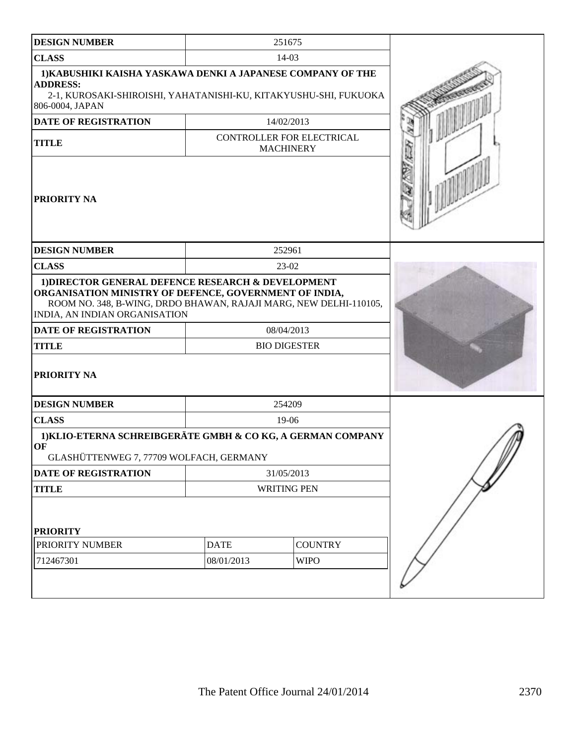| <b>DESIGN NUMBER</b>                                                                                                                                                                                                                              |                                               | 251675              |  |
|---------------------------------------------------------------------------------------------------------------------------------------------------------------------------------------------------------------------------------------------------|-----------------------------------------------|---------------------|--|
| <b>CLASS</b>                                                                                                                                                                                                                                      |                                               | $14-03$             |  |
| 1) KABUSHIKI KAISHA YASKAWA DENKI A JAPANESE COMPANY OF THE<br><b>ADDRESS:</b><br>2-1, KUROSAKI-SHIROISHI, YAHATANISHI-KU, KITAKYUSHU-SHI, FUKUOKA<br>806-0004, JAPAN                                                                             |                                               |                     |  |
| <b>DATE OF REGISTRATION</b>                                                                                                                                                                                                                       |                                               | 14/02/2013          |  |
| <b>TITLE</b>                                                                                                                                                                                                                                      | CONTROLLER FOR ELECTRICAL<br><b>MACHINERY</b> |                     |  |
| <b>PRIORITY NA</b>                                                                                                                                                                                                                                |                                               |                     |  |
| <b>DESIGN NUMBER</b>                                                                                                                                                                                                                              |                                               | 252961              |  |
| <b>CLASS</b>                                                                                                                                                                                                                                      |                                               | $23-02$             |  |
| 1) DIRECTOR GENERAL DEFENCE RESEARCH & DEVELOPMENT<br>ORGANISATION MINISTRY OF DEFENCE, GOVERNMENT OF INDIA,<br>ROOM NO. 348, B-WING, DRDO BHAWAN, RAJAJI MARG, NEW DELHI-110105,<br>INDIA, AN INDIAN ORGANISATION<br><b>DATE OF REGISTRATION</b> |                                               | 08/04/2013          |  |
| <b>TITLE</b>                                                                                                                                                                                                                                      |                                               | <b>BIO DIGESTER</b> |  |
| <b>PRIORITY NA</b>                                                                                                                                                                                                                                |                                               |                     |  |
| <b>DESIGN NUMBER</b>                                                                                                                                                                                                                              |                                               | 254209              |  |
| <b>CLASS</b>                                                                                                                                                                                                                                      |                                               | $19-06$             |  |
| 1) KLIO-ETERNA SCHREIBGERÄTE GMBH & CO KG, A GERMAN COMPANY<br>OF<br>GLASHÜTTENWEG 7, 77709 WOLFACH, GERMANY                                                                                                                                      |                                               |                     |  |
| <b>DATE OF REGISTRATION</b>                                                                                                                                                                                                                       |                                               | 31/05/2013          |  |
| <b>TITLE</b>                                                                                                                                                                                                                                      |                                               | <b>WRITING PEN</b>  |  |
| <b>PRIORITY</b>                                                                                                                                                                                                                                   |                                               |                     |  |
| PRIORITY NUMBER                                                                                                                                                                                                                                   | <b>DATE</b><br><b>COUNTRY</b>                 |                     |  |
| 712467301                                                                                                                                                                                                                                         | 08/01/2013<br><b>WIPO</b>                     |                     |  |
|                                                                                                                                                                                                                                                   |                                               |                     |  |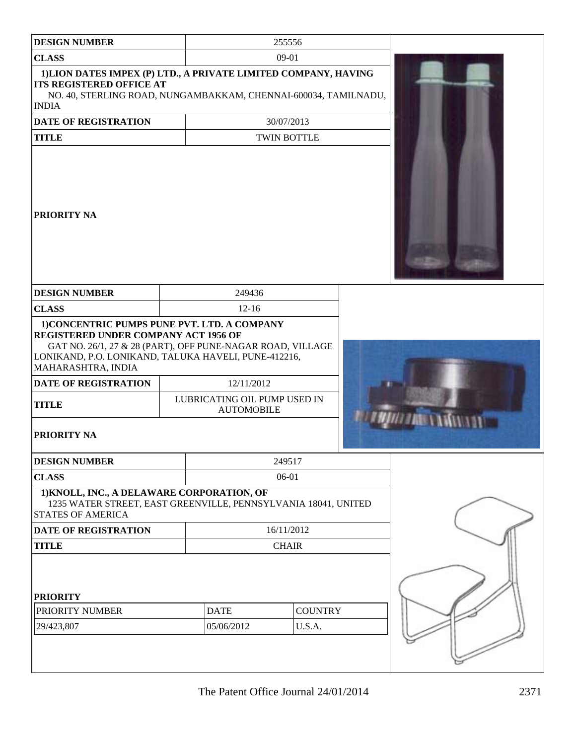| <b>DESIGN NUMBER</b>                                                                                                                                                                                                                    |                                                                 | 255556                   |  |
|-----------------------------------------------------------------------------------------------------------------------------------------------------------------------------------------------------------------------------------------|-----------------------------------------------------------------|--------------------------|--|
| <b>CLASS</b>                                                                                                                                                                                                                            |                                                                 | $09 - 01$                |  |
| 1) LION DATES IMPEX (P) LTD., A PRIVATE LIMITED COMPANY, HAVING<br><b>ITS REGISTERED OFFICE AT</b><br>NO. 40, STERLING ROAD, NUNGAMBAKKAM, CHENNAI-600034, TAMILNADU,<br><b>INDIA</b>                                                   |                                                                 |                          |  |
| <b>DATE OF REGISTRATION</b>                                                                                                                                                                                                             |                                                                 | 30/07/2013               |  |
| <b>TITLE</b>                                                                                                                                                                                                                            |                                                                 | <b>TWIN BOTTLE</b>       |  |
| <b>PRIORITY NA</b>                                                                                                                                                                                                                      |                                                                 |                          |  |
| <b>DESIGN NUMBER</b>                                                                                                                                                                                                                    | 249436                                                          |                          |  |
| <b>CLASS</b>                                                                                                                                                                                                                            | $12 - 16$                                                       |                          |  |
| REGISTERED UNDER COMPANY ACT 1956 OF<br>GAT NO. 26/1, 27 & 28 (PART), OFF PUNE-NAGAR ROAD, VILLAGE<br>LONIKAND, P.O. LONIKAND, TALUKA HAVELI, PUNE-412216,<br>MAHARASHTRA, INDIA<br>DATE OF REGISTRATION<br><b>TITLE</b><br>PRIORITY NA | 12/11/2012<br>LUBRICATING OIL PUMP USED IN<br><b>AUTOMOBILE</b> |                          |  |
| <b>DESIGN NUMBER</b>                                                                                                                                                                                                                    |                                                                 | 249517                   |  |
| <b>CLASS</b>                                                                                                                                                                                                                            |                                                                 | 06-01                    |  |
| 1) KNOLL, INC., A DELAWARE CORPORATION, OF<br>1235 WATER STREET, EAST GREENVILLE, PENNSYLVANIA 18041, UNITED<br><b>STATES OF AMERICA</b>                                                                                                |                                                                 |                          |  |
| DATE OF REGISTRATION                                                                                                                                                                                                                    |                                                                 | 16/11/2012               |  |
| <b>TITLE</b>                                                                                                                                                                                                                            |                                                                 | <b>CHAIR</b>             |  |
| <b>PRIORITY</b><br>PRIORITY NUMBER<br>29/423,807                                                                                                                                                                                        | <b>DATE</b><br>05/06/2012                                       | <b>COUNTRY</b><br>U.S.A. |  |
|                                                                                                                                                                                                                                         |                                                                 |                          |  |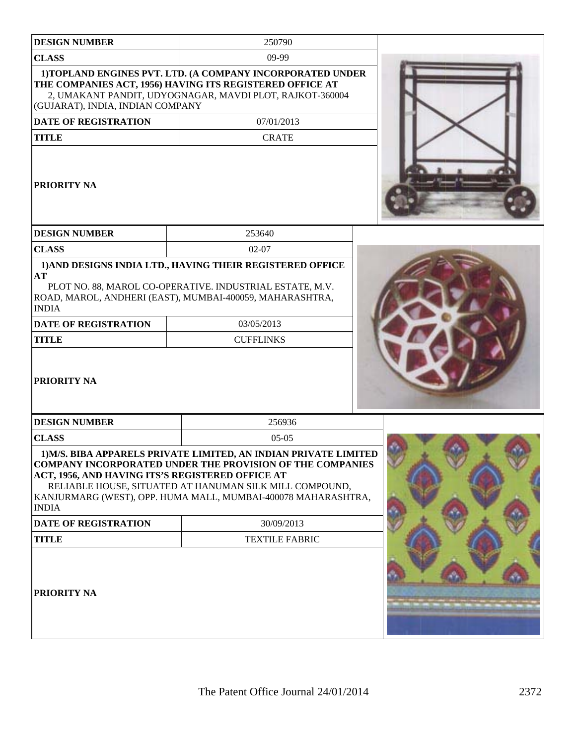| <b>DESIGN NUMBER</b>                                              | 250790                                                                                                                                                                                                                                                           |  |
|-------------------------------------------------------------------|------------------------------------------------------------------------------------------------------------------------------------------------------------------------------------------------------------------------------------------------------------------|--|
| <b>CLASS</b>                                                      | 09-99                                                                                                                                                                                                                                                            |  |
| (GUJARAT), INDIA, INDIAN COMPANY                                  | 1) TOPLAND ENGINES PVT. LTD. (A COMPANY INCORPORATED UNDER<br>THE COMPANIES ACT, 1956) HAVING ITS REGISTERED OFFICE AT<br>2, UMAKANT PANDIT, UDYOGNAGAR, MAVDI PLOT, RAJKOT-360004                                                                               |  |
| <b>DATE OF REGISTRATION</b>                                       | 07/01/2013                                                                                                                                                                                                                                                       |  |
| <b>TITLE</b>                                                      | <b>CRATE</b>                                                                                                                                                                                                                                                     |  |
| <b>PRIORITY NA</b>                                                |                                                                                                                                                                                                                                                                  |  |
| <b>DESIGN NUMBER</b>                                              | 253640                                                                                                                                                                                                                                                           |  |
| <b>CLASS</b>                                                      | $02 - 07$                                                                                                                                                                                                                                                        |  |
| AT<br><b>INDIA</b><br><b>DATE OF REGISTRATION</b><br><b>TITLE</b> | 1) AND DESIGNS INDIA LTD., HAVING THEIR REGISTERED OFFICE<br>PLOT NO. 88, MAROL CO-OPERATIVE. INDUSTRIAL ESTATE, M.V.<br>ROAD, MAROL, ANDHERI (EAST), MUMBAI-400059, MAHARASHTRA,<br>03/05/2013<br><b>CUFFLINKS</b>                                              |  |
| PRIORITY NA<br><b>DESIGN NUMBER</b>                               | 256936                                                                                                                                                                                                                                                           |  |
| <b>CLASS</b>                                                      | $05-05$                                                                                                                                                                                                                                                          |  |
| ACT, 1956, AND HAVING ITS'S REGISTERED OFFICE AT<br><b>INDIA</b>  | 1) M/S. BIBA APPARELS PRIVATE LIMITED, AN INDIAN PRIVATE LIMITED<br><b>COMPANY INCORPORATED UNDER THE PROVISION OF THE COMPANIES</b><br>RELIABLE HOUSE, SITUATED AT HANUMAN SILK MILL COMPOUND,<br>KANJURMARG (WEST), OPP. HUMA MALL, MUMBAI-400078 MAHARASHTRA, |  |
| <b>DATE OF REGISTRATION</b>                                       | 30/09/2013                                                                                                                                                                                                                                                       |  |
| <b>TITLE</b>                                                      | <b>TEXTILE FABRIC</b>                                                                                                                                                                                                                                            |  |
| <b>PRIORITY NA</b>                                                |                                                                                                                                                                                                                                                                  |  |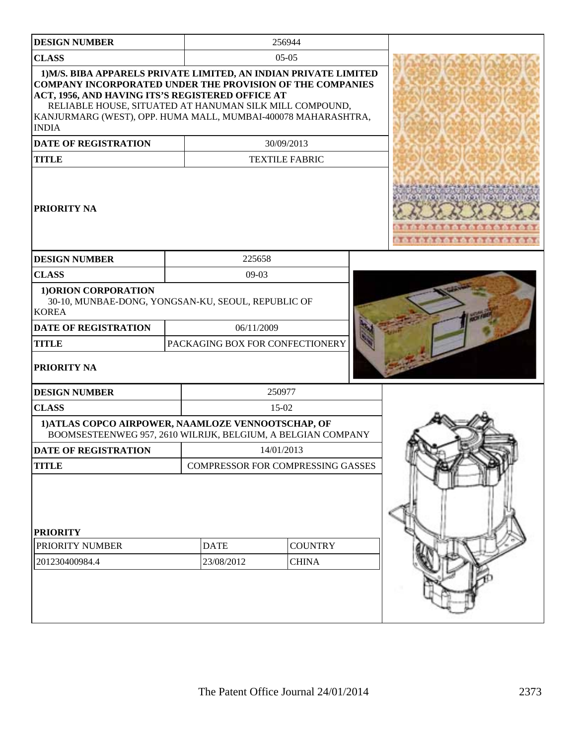| <b>DESIGN NUMBER</b>                                                                                                                                                                                                                                                                                                                 |                                 | 256944                                   |                   |
|--------------------------------------------------------------------------------------------------------------------------------------------------------------------------------------------------------------------------------------------------------------------------------------------------------------------------------------|---------------------------------|------------------------------------------|-------------------|
| <b>CLASS</b>                                                                                                                                                                                                                                                                                                                         |                                 | $05-05$                                  |                   |
| 1) M/S. BIBA APPARELS PRIVATE LIMITED, AN INDIAN PRIVATE LIMITED<br><b>COMPANY INCORPORATED UNDER THE PROVISION OF THE COMPANIES</b><br>ACT, 1956, AND HAVING ITS'S REGISTERED OFFICE AT<br>RELIABLE HOUSE, SITUATED AT HANUMAN SILK MILL COMPOUND,<br>KANJURMARG (WEST), OPP. HUMA MALL, MUMBAI-400078 MAHARASHTRA,<br><b>INDIA</b> |                                 |                                          |                   |
| <b>DATE OF REGISTRATION</b>                                                                                                                                                                                                                                                                                                          |                                 | 30/09/2013                               |                   |
| <b>TITLE</b>                                                                                                                                                                                                                                                                                                                         |                                 | <b>TEXTILE FABRIC</b>                    |                   |
| PRIORITY NA                                                                                                                                                                                                                                                                                                                          |                                 |                                          | 00000000000000000 |
| <b>DESIGN NUMBER</b>                                                                                                                                                                                                                                                                                                                 | 225658                          |                                          |                   |
| <b>CLASS</b>                                                                                                                                                                                                                                                                                                                         | 09-03                           |                                          |                   |
| 1) ORION CORPORATION<br>30-10, MUNBAE-DONG, YONGSAN-KU, SEOUL, REPUBLIC OF<br><b>KOREA</b>                                                                                                                                                                                                                                           |                                 |                                          |                   |
| <b>DATE OF REGISTRATION</b>                                                                                                                                                                                                                                                                                                          | 06/11/2009                      |                                          |                   |
| <b>TITLE</b>                                                                                                                                                                                                                                                                                                                         | PACKAGING BOX FOR CONFECTIONERY |                                          |                   |
| PRIORITY NA                                                                                                                                                                                                                                                                                                                          |                                 |                                          |                   |
| <b>DESIGN NUMBER</b>                                                                                                                                                                                                                                                                                                                 |                                 | 250977                                   |                   |
| <b>CLASS</b>                                                                                                                                                                                                                                                                                                                         |                                 | 15-02                                    |                   |
| 1) ATLAS COPCO AIRPOWER, NAAMLOZE VENNOOTSCHAP, OF<br>BOOMSESTEENWEG 957, 2610 WILRIJK, BELGIUM, A BELGIAN COMPANY                                                                                                                                                                                                                   |                                 |                                          |                   |
| <b>DATE OF REGISTRATION</b>                                                                                                                                                                                                                                                                                                          |                                 | 14/01/2013                               |                   |
| <b>TITLE</b>                                                                                                                                                                                                                                                                                                                         |                                 | <b>COMPRESSOR FOR COMPRESSING GASSES</b> |                   |
| <b>PRIORITY</b><br>PRIORITY NUMBER<br>201230400984.4                                                                                                                                                                                                                                                                                 | <b>DATE</b><br>23/08/2012       | <b>COUNTRY</b><br><b>CHINA</b>           |                   |
|                                                                                                                                                                                                                                                                                                                                      |                                 |                                          |                   |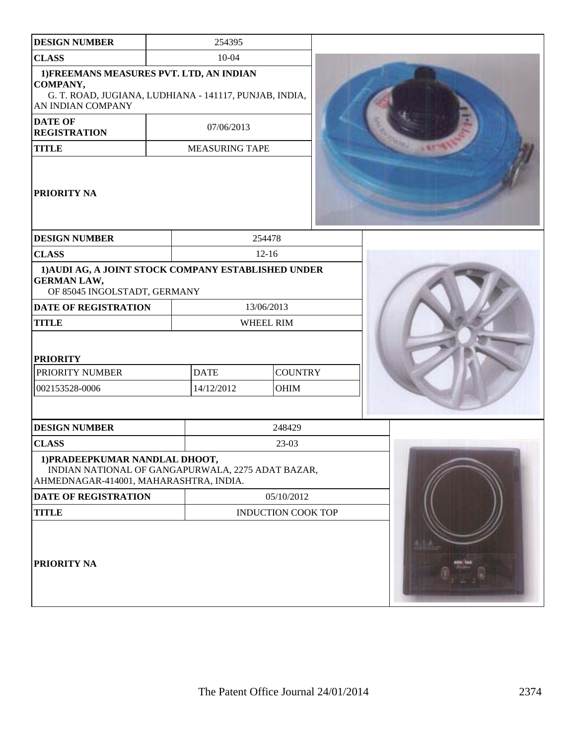| <b>DESIGN NUMBER</b>                                                                                                                | 254395                |                           |             |
|-------------------------------------------------------------------------------------------------------------------------------------|-----------------------|---------------------------|-------------|
| <b>CLASS</b>                                                                                                                        | 10-04                 |                           |             |
| 1) FREEMANS MEASURES PVT. LTD, AN INDIAN<br>COMPANY,<br>G. T. ROAD, JUGIANA, LUDHIANA - 141117, PUNJAB, INDIA,<br>AN INDIAN COMPANY |                       |                           |             |
| <b>DATE OF</b><br><b>REGISTRATION</b>                                                                                               | 07/06/2013            |                           |             |
| <b>TITLE</b>                                                                                                                        | <b>MEASURING TAPE</b> |                           | <b>1957</b> |
| PRIORITY NA                                                                                                                         |                       |                           |             |
| <b>DESIGN NUMBER</b>                                                                                                                |                       | 254478                    |             |
| <b>CLASS</b>                                                                                                                        |                       | $12-16$                   |             |
| 1) AUDI AG, A JOINT STOCK COMPANY ESTABLISHED UNDER<br><b>GERMAN LAW,</b><br>OF 85045 INGOLSTADT, GERMANY                           |                       |                           |             |
| <b>DATE OF REGISTRATION</b>                                                                                                         |                       | 13/06/2013                |             |
| <b>TITLE</b>                                                                                                                        |                       | WHEEL RIM                 |             |
| <b>PRIORITY</b><br>PRIORITY NUMBER                                                                                                  | <b>DATE</b>           | <b>COUNTRY</b>            |             |
| 002153528-0006                                                                                                                      | 14/12/2012            | OHIM                      |             |
|                                                                                                                                     |                       |                           |             |
| <b>DESIGN NUMBER</b>                                                                                                                |                       | 248429                    |             |
| <b>CLASS</b>                                                                                                                        |                       | 23-03                     |             |
| 1) PRADEEPKUMAR NANDLAL DHOOT,<br>INDIAN NATIONAL OF GANGAPURWALA, 2275 ADAT BAZAR,<br>AHMEDNAGAR-414001, MAHARASHTRA, INDIA.       |                       |                           |             |
| DATE OF REGISTRATION                                                                                                                | 05/10/2012            |                           |             |
| <b>TITLE</b>                                                                                                                        |                       | <b>INDUCTION COOK TOP</b> |             |
| PRIORITY NA                                                                                                                         |                       |                           |             |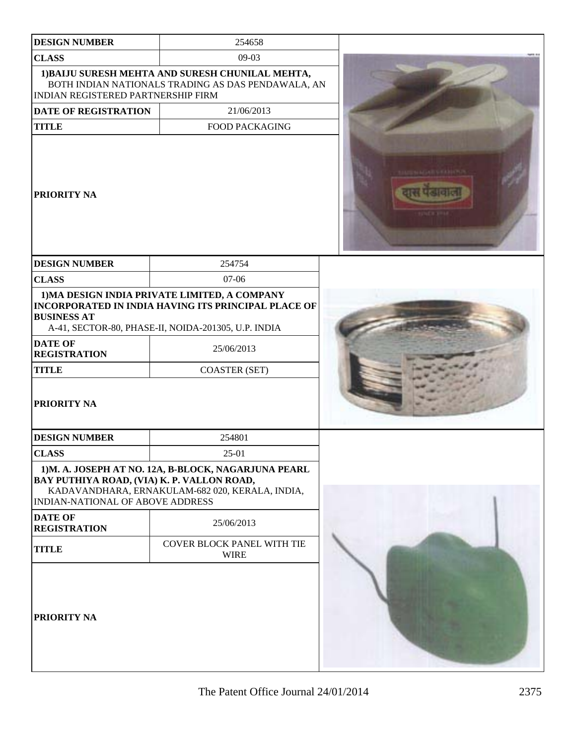| <b>DESIGN NUMBER</b>                                                           | 254658                                                                                                                                                      |  |
|--------------------------------------------------------------------------------|-------------------------------------------------------------------------------------------------------------------------------------------------------------|--|
| <b>CLASS</b>                                                                   | $09-03$                                                                                                                                                     |  |
| <b>INDIAN REGISTERED PARTNERSHIP FIRM</b>                                      | 1) BAIJU SURESH MEHTA AND SURESH CHUNILAL MEHTA,<br>BOTH INDIAN NATIONALS TRADING AS DAS PENDAWALA, AN                                                      |  |
| <b>DATE OF REGISTRATION</b>                                                    | 21/06/2013                                                                                                                                                  |  |
| <b>TITLE</b>                                                                   | <b>FOOD PACKAGING</b>                                                                                                                                       |  |
| <b>PRIORITY NA</b>                                                             |                                                                                                                                                             |  |
| <b>DESIGN NUMBER</b>                                                           | 254754                                                                                                                                                      |  |
| <b>CLASS</b>                                                                   | 07-06                                                                                                                                                       |  |
| <b>BUSINESS AT</b>                                                             | 1) MA DESIGN INDIA PRIVATE LIMITED, A COMPANY<br>INCORPORATED IN INDIA HAVING ITS PRINCIPAL PLACE OF<br>A-41, SECTOR-80, PHASE-II, NOIDA-201305, U.P. INDIA |  |
| <b>DATE OF</b><br><b>REGISTRATION</b>                                          | 25/06/2013                                                                                                                                                  |  |
| <b>TITLE</b>                                                                   | <b>COASTER (SET)</b>                                                                                                                                        |  |
| <b>PRIORITY NA</b>                                                             |                                                                                                                                                             |  |
| <b>DESIGN NUMBER</b>                                                           | 254801                                                                                                                                                      |  |
| <b>CLASS</b>                                                                   | 25-01                                                                                                                                                       |  |
| BAY PUTHIYA ROAD, (VIA) K. P. VALLON ROAD,<br>INDIAN-NATIONAL OF ABOVE ADDRESS | 1)M. A. JOSEPH AT NO. 12A, B-BLOCK, NAGARJUNA PEARL<br>KADAVANDHARA, ERNAKULAM-682 020, KERALA, INDIA,                                                      |  |
| <b>DATE OF</b><br><b>REGISTRATION</b>                                          | 25/06/2013                                                                                                                                                  |  |
| <b>TITLE</b>                                                                   | COVER BLOCK PANEL WITH TIE<br><b>WIRE</b>                                                                                                                   |  |
| <b>PRIORITY NA</b>                                                             |                                                                                                                                                             |  |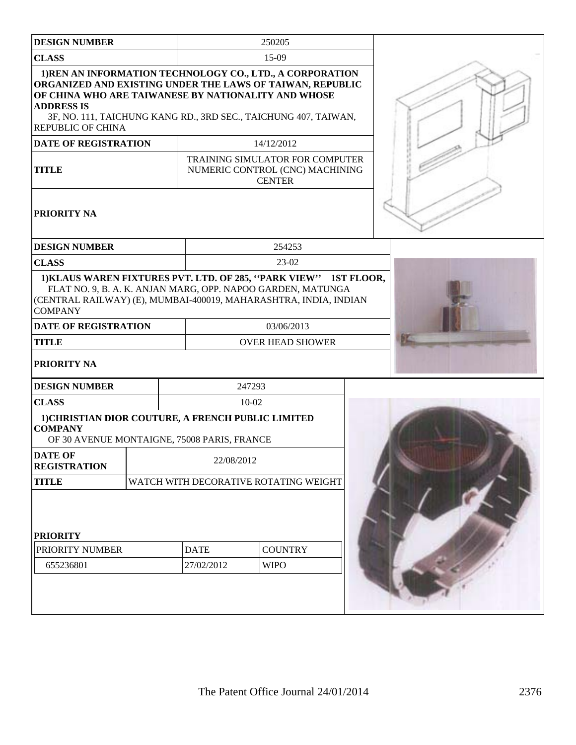| <b>DESIGN NUMBER</b>                                                                                                |                           | 250205                                                                                                                                                                                                                                       |  |
|---------------------------------------------------------------------------------------------------------------------|---------------------------|----------------------------------------------------------------------------------------------------------------------------------------------------------------------------------------------------------------------------------------------|--|
| <b>CLASS</b>                                                                                                        |                           | 15-09                                                                                                                                                                                                                                        |  |
| OF CHINA WHO ARE TAIWANESE BY NATIONALITY AND WHOSE<br><b>ADDRESS IS</b><br><b>REPUBLIC OF CHINA</b>                |                           | 1) REN AN INFORMATION TECHNOLOGY CO., LTD., A CORPORATION<br>ORGANIZED AND EXISTING UNDER THE LAWS OF TAIWAN, REPUBLIC<br>3F, NO. 111, TAICHUNG KANG RD., 3RD SEC., TAICHUNG 407, TAIWAN,                                                    |  |
| <b>DATE OF REGISTRATION</b>                                                                                         |                           | 14/12/2012                                                                                                                                                                                                                                   |  |
| <b>TITLE</b>                                                                                                        |                           | TRAINING SIMULATOR FOR COMPUTER<br>NUMERIC CONTROL (CNC) MACHINING<br><b>CENTER</b>                                                                                                                                                          |  |
| PRIORITY NA                                                                                                         |                           |                                                                                                                                                                                                                                              |  |
| <b>DESIGN NUMBER</b>                                                                                                |                           | 254253                                                                                                                                                                                                                                       |  |
| <b>CLASS</b>                                                                                                        |                           | 23-02                                                                                                                                                                                                                                        |  |
| <b>COMPANY</b><br>DATE OF REGISTRATION<br><b>TITLE</b><br><b>PRIORITY NA</b>                                        |                           | 1) KLAUS WAREN FIXTURES PVT. LTD. OF 285, "PARK VIEW" 1ST FLOOR,<br>FLAT NO. 9, B. A. K. ANJAN MARG, OPP. NAPOO GARDEN, MATUNGA<br>(CENTRAL RAILWAY) (E), MUMBAI-400019, MAHARASHTRA, INDIA, INDIAN<br>03/06/2013<br><b>OVER HEAD SHOWER</b> |  |
| <b>DESIGN NUMBER</b>                                                                                                | 247293                    |                                                                                                                                                                                                                                              |  |
| <b>CLASS</b>                                                                                                        | $10 - 02$                 |                                                                                                                                                                                                                                              |  |
| 1) CHRISTIAN DIOR COUTURE, A FRENCH PUBLIC LIMITED<br><b>COMPANY</b><br>OF 30 AVENUE MONTAIGNE, 75008 PARIS, FRANCE |                           |                                                                                                                                                                                                                                              |  |
| <b>DATE OF</b><br><b>REGISTRATION</b>                                                                               | 22/08/2012                |                                                                                                                                                                                                                                              |  |
| <b>TITLE</b>                                                                                                        |                           | WATCH WITH DECORATIVE ROTATING WEIGHT                                                                                                                                                                                                        |  |
| <b>PRIORITY</b><br>PRIORITY NUMBER<br>655236801                                                                     | <b>DATE</b><br>27/02/2012 | <b>COUNTRY</b><br><b>WIPO</b>                                                                                                                                                                                                                |  |
|                                                                                                                     |                           |                                                                                                                                                                                                                                              |  |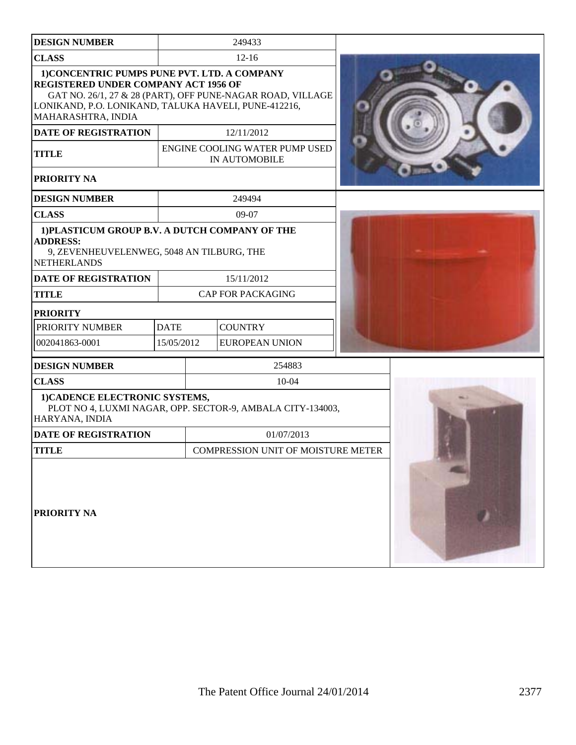| <b>DESIGN NUMBER</b>                                                                                                                                                      |             | 249433                                                     |  |
|---------------------------------------------------------------------------------------------------------------------------------------------------------------------------|-------------|------------------------------------------------------------|--|
| <b>CLASS</b>                                                                                                                                                              |             | $12 - 16$                                                  |  |
| 1) CONCENTRIC PUMPS PUNE PVT. LTD. A COMPANY<br><b>REGISTERED UNDER COMPANY ACT 1956 OF</b><br>LONIKAND, P.O. LONIKAND, TALUKA HAVELI, PUNE-412216,<br>MAHARASHTRA, INDIA |             | GAT NO. 26/1, 27 & 28 (PART), OFF PUNE-NAGAR ROAD, VILLAGE |  |
| <b>DATE OF REGISTRATION</b>                                                                                                                                               |             | 12/11/2012                                                 |  |
| <b>TITLE</b>                                                                                                                                                              |             | ENGINE COOLING WATER PUMP USED<br>IN AUTOMOBILE            |  |
| PRIORITY NA                                                                                                                                                               |             |                                                            |  |
| <b>DESIGN NUMBER</b>                                                                                                                                                      |             | 249494                                                     |  |
| <b>CLASS</b>                                                                                                                                                              |             | 09-07                                                      |  |
| 1) PLASTICUM GROUP B.V. A DUTCH COMPANY OF THE<br><b>ADDRESS:</b><br>9, ZEVENHEUVELENWEG, 5048 AN TILBURG, THE<br><b>NETHERLANDS</b>                                      |             |                                                            |  |
| DATE OF REGISTRATION                                                                                                                                                      |             | 15/11/2012                                                 |  |
| <b>TITLE</b>                                                                                                                                                              |             | <b>CAP FOR PACKAGING</b>                                   |  |
| <b>PRIORITY</b>                                                                                                                                                           |             |                                                            |  |
| PRIORITY NUMBER                                                                                                                                                           | <b>DATE</b> | <b>COUNTRY</b>                                             |  |
| 002041863-0001                                                                                                                                                            | 15/05/2012  | <b>EUROPEAN UNION</b>                                      |  |
| <b>DESIGN NUMBER</b>                                                                                                                                                      |             | 254883                                                     |  |
| <b>CLASS</b>                                                                                                                                                              |             | $10 - 04$                                                  |  |
| 1) CADENCE ELECTRONIC SYSTEMS,<br>HARYANA, INDIA                                                                                                                          |             | PLOT NO 4, LUXMI NAGAR, OPP. SECTOR-9, AMBALA CITY-134003, |  |
| <b>DATE OF REGISTRATION</b>                                                                                                                                               |             | 01/07/2013                                                 |  |
| <b>TITLE</b>                                                                                                                                                              |             | COMPRESSION UNIT OF MOISTURE METER                         |  |
| PRIORITY NA                                                                                                                                                               |             |                                                            |  |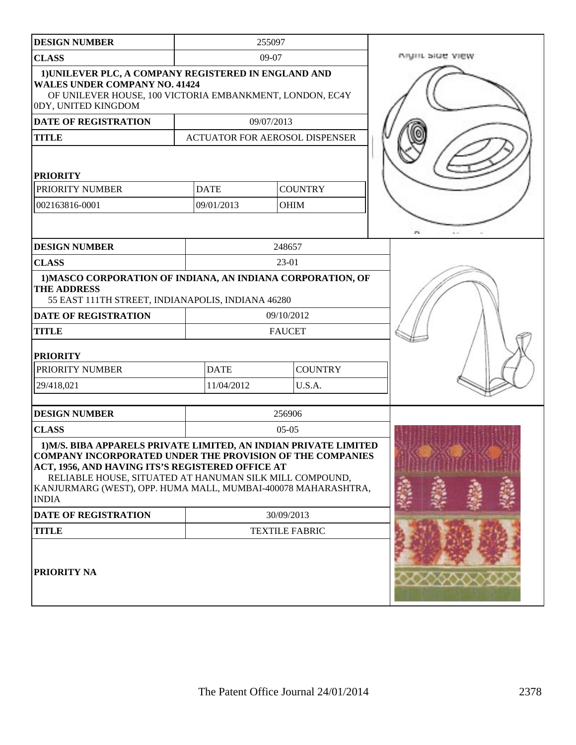| <b>DESIGN NUMBER</b>                                                                                                                                                                                                                                                                                                                 |                                       | 255097        |                |                 |
|--------------------------------------------------------------------------------------------------------------------------------------------------------------------------------------------------------------------------------------------------------------------------------------------------------------------------------------|---------------------------------------|---------------|----------------|-----------------|
| <b>CLASS</b>                                                                                                                                                                                                                                                                                                                         | 09-07                                 |               |                | Night side view |
| 1) UNILEVER PLC, A COMPANY REGISTERED IN ENGLAND AND<br><b>WALES UNDER COMPANY NO. 41424</b><br>OF UNILEVER HOUSE, 100 VICTORIA EMBANKMENT, LONDON, EC4Y<br>0DY, UNITED KINGDOM                                                                                                                                                      |                                       |               |                |                 |
| <b>DATE OF REGISTRATION</b>                                                                                                                                                                                                                                                                                                          |                                       | 09/07/2013    |                |                 |
| <b>TITLE</b>                                                                                                                                                                                                                                                                                                                         | <b>ACTUATOR FOR AEROSOL DISPENSER</b> |               |                |                 |
| <b>PRIORITY</b><br>PRIORITY NUMBER                                                                                                                                                                                                                                                                                                   | <b>DATE</b>                           |               | <b>COUNTRY</b> |                 |
| 002163816-0001                                                                                                                                                                                                                                                                                                                       | 09/01/2013                            |               | <b>OHIM</b>    |                 |
|                                                                                                                                                                                                                                                                                                                                      |                                       |               |                |                 |
| <b>DESIGN NUMBER</b>                                                                                                                                                                                                                                                                                                                 |                                       | 248657        |                |                 |
| <b>CLASS</b>                                                                                                                                                                                                                                                                                                                         |                                       | 23-01         |                |                 |
| 1) MASCO CORPORATION OF INDIANA, AN INDIANA CORPORATION, OF<br><b>THE ADDRESS</b><br>55 EAST 111TH STREET, INDIANAPOLIS, INDIANA 46280                                                                                                                                                                                               |                                       |               |                |                 |
| <b>DATE OF REGISTRATION</b>                                                                                                                                                                                                                                                                                                          |                                       | 09/10/2012    |                |                 |
| <b>TITLE</b>                                                                                                                                                                                                                                                                                                                         |                                       | <b>FAUCET</b> |                |                 |
| <b>PRIORITY</b>                                                                                                                                                                                                                                                                                                                      |                                       |               |                |                 |
| PRIORITY NUMBER                                                                                                                                                                                                                                                                                                                      | <b>DATE</b>                           |               | <b>COUNTRY</b> |                 |
| 29/418,021                                                                                                                                                                                                                                                                                                                           | 11/04/2012                            |               | U.S.A.         |                 |
| <b>DESIGN NUMBER</b>                                                                                                                                                                                                                                                                                                                 |                                       | 256906        |                |                 |
| <b>CLASS</b>                                                                                                                                                                                                                                                                                                                         |                                       | $05-05$       |                |                 |
| 1) M/S. BIBA APPARELS PRIVATE LIMITED, AN INDIAN PRIVATE LIMITED<br><b>COMPANY INCORPORATED UNDER THE PROVISION OF THE COMPANIES</b><br>ACT, 1956, AND HAVING ITS'S REGISTERED OFFICE AT<br>RELIABLE HOUSE, SITUATED AT HANUMAN SILK MILL COMPOUND,<br>KANJURMARG (WEST), OPP. HUMA MALL, MUMBAI-400078 MAHARASHTRA,<br><b>INDIA</b> |                                       |               |                |                 |
| DATE OF REGISTRATION                                                                                                                                                                                                                                                                                                                 | 30/09/2013                            |               |                |                 |
| <b>TITLE</b>                                                                                                                                                                                                                                                                                                                         | <b>TEXTILE FABRIC</b>                 |               |                |                 |
| PRIORITY NA                                                                                                                                                                                                                                                                                                                          |                                       |               |                |                 |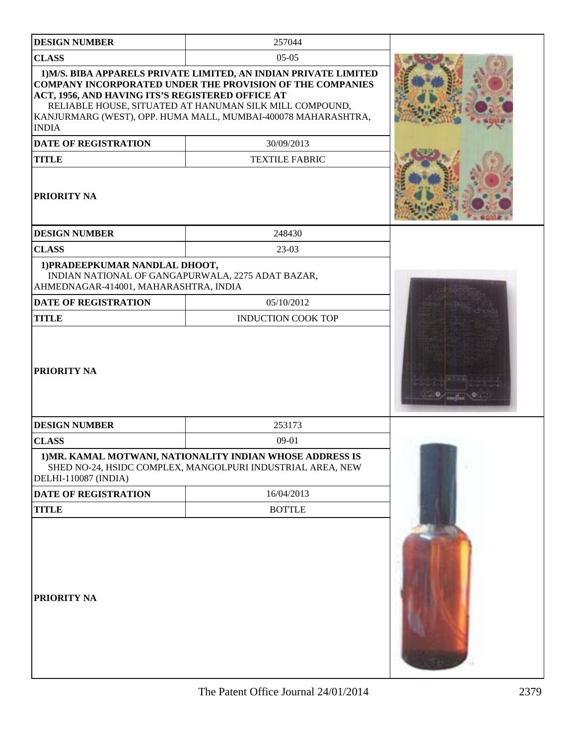| <b>DESIGN NUMBER</b>                                                                                                         | 257044                                                                                                                                                                                                                                                                         |                    |
|------------------------------------------------------------------------------------------------------------------------------|--------------------------------------------------------------------------------------------------------------------------------------------------------------------------------------------------------------------------------------------------------------------------------|--------------------|
| <b>CLASS</b>                                                                                                                 | $05-05$                                                                                                                                                                                                                                                                        |                    |
| ACT, 1956, AND HAVING ITS'S REGISTERED OFFICE AT<br><b>INDIA</b><br><b>DATE OF REGISTRATION</b>                              | 1) M/S. BIBA APPARELS PRIVATE LIMITED, AN INDIAN PRIVATE LIMITED<br><b>COMPANY INCORPORATED UNDER THE PROVISION OF THE COMPANIES</b><br>RELIABLE HOUSE, SITUATED AT HANUMAN SILK MILL COMPOUND,<br>KANJURMARG (WEST), OPP. HUMA MALL, MUMBAI-400078 MAHARASHTRA,<br>30/09/2013 |                    |
| <b>TITLE</b>                                                                                                                 | <b>TEXTILE FABRIC</b>                                                                                                                                                                                                                                                          |                    |
| <b>PRIORITY NA</b>                                                                                                           |                                                                                                                                                                                                                                                                                |                    |
| <b>DESIGN NUMBER</b>                                                                                                         | 248430                                                                                                                                                                                                                                                                         |                    |
| <b>CLASS</b>                                                                                                                 | 23-03                                                                                                                                                                                                                                                                          |                    |
| 1) PRADEEPKUMAR NANDLAL DHOOT,<br>INDIAN NATIONAL OF GANGAPURWALA, 2275 ADAT BAZAR,<br>AHMEDNAGAR-414001, MAHARASHTRA, INDIA |                                                                                                                                                                                                                                                                                |                    |
| <b>DATE OF REGISTRATION</b>                                                                                                  | 05/10/2012                                                                                                                                                                                                                                                                     |                    |
| <b>TITLE</b>                                                                                                                 | <b>INDUCTION COOK TOP</b>                                                                                                                                                                                                                                                      |                    |
| <b>PRIORITY NA</b>                                                                                                           |                                                                                                                                                                                                                                                                                | $m_{\rm{max}} \ge$ |
| <b>DESIGN NUMBER</b>                                                                                                         | 253173                                                                                                                                                                                                                                                                         |                    |
| <b>CLASS</b>                                                                                                                 | $09-01$                                                                                                                                                                                                                                                                        |                    |
| DELHI-110087 (INDIA)                                                                                                         | 1) MR. KAMAL MOTWANI, NATIONALITY INDIAN WHOSE ADDRESS IS<br>SHED NO-24, HSIDC COMPLEX, MANGOLPURI INDUSTRIAL AREA, NEW                                                                                                                                                        |                    |
| DATE OF REGISTRATION                                                                                                         | 16/04/2013                                                                                                                                                                                                                                                                     |                    |
| <b>TITLE</b>                                                                                                                 | <b>BOTTLE</b>                                                                                                                                                                                                                                                                  |                    |
| <b>PRIORITY NA</b>                                                                                                           |                                                                                                                                                                                                                                                                                |                    |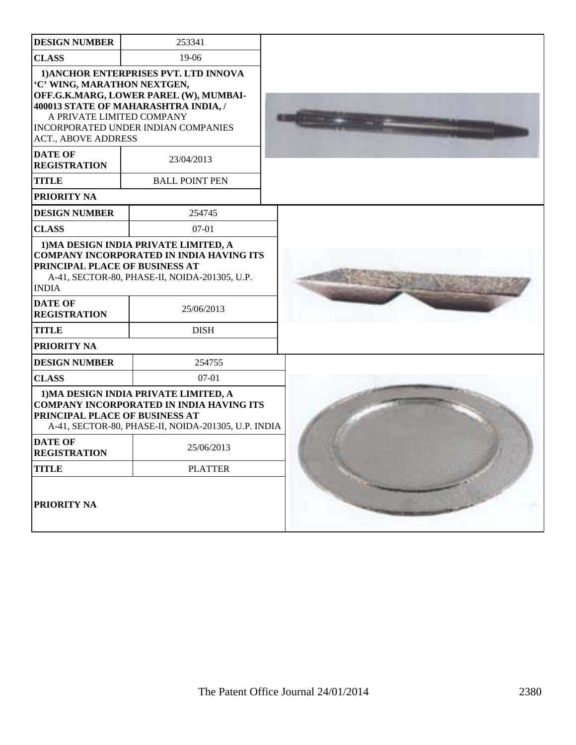| <b>DESIGN NUMBER</b>                                                                                                   | 253341                                                                                                                                                         |  |
|------------------------------------------------------------------------------------------------------------------------|----------------------------------------------------------------------------------------------------------------------------------------------------------------|--|
| <b>CLASS</b>                                                                                                           | 19-06                                                                                                                                                          |  |
| 'C' WING, MARATHON NEXTGEN,<br>A PRIVATE LIMITED COMPANY<br><b>ACT., ABOVE ADDRESS</b>                                 | 1) ANCHOR ENTERPRISES PVT. LTD INNOVA<br>OFF.G.K.MARG, LOWER PAREL (W), MUMBAI-<br>400013 STATE OF MAHARASHTRA INDIA, /<br>INCORPORATED UNDER INDIAN COMPANIES |  |
| <b>DATE OF</b><br><b>REGISTRATION</b>                                                                                  | 23/04/2013                                                                                                                                                     |  |
| <b>TITLE</b>                                                                                                           | <b>BALL POINT PEN</b>                                                                                                                                          |  |
| PRIORITY NA                                                                                                            |                                                                                                                                                                |  |
| <b>DESIGN NUMBER</b>                                                                                                   | 254745                                                                                                                                                         |  |
| <b>CLASS</b>                                                                                                           | $07-01$                                                                                                                                                        |  |
| PRINCIPAL PLACE OF BUSINESS AT<br><b>INDIA</b><br><b>DATE OF</b><br><b>REGISTRATION</b><br><b>TITLE</b><br>PRIORITY NA | <b>COMPANY INCORPORATED IN INDIA HAVING ITS</b><br>A-41, SECTOR-80, PHASE-II, NOIDA-201305, U.P.<br>25/06/2013<br><b>DISH</b>                                  |  |
| <b>DESIGN NUMBER</b>                                                                                                   | 254755                                                                                                                                                         |  |
| <b>CLASS</b>                                                                                                           | $07 - 01$                                                                                                                                                      |  |
| PRINCIPAL PLACE OF BUSINESS AT                                                                                         | 1) MA DESIGN INDIA PRIVATE LIMITED, A<br><b>COMPANY INCORPORATED IN INDIA HAVING ITS</b><br>A-41, SECTOR-80, PHASE-II, NOIDA-201305, U.P. INDIA                |  |
| <b>DATE OF</b><br><b>REGISTRATION</b>                                                                                  | 25/06/2013                                                                                                                                                     |  |
| <b>TITLE</b>                                                                                                           | <b>PLATTER</b>                                                                                                                                                 |  |
| PRIORITY NA                                                                                                            |                                                                                                                                                                |  |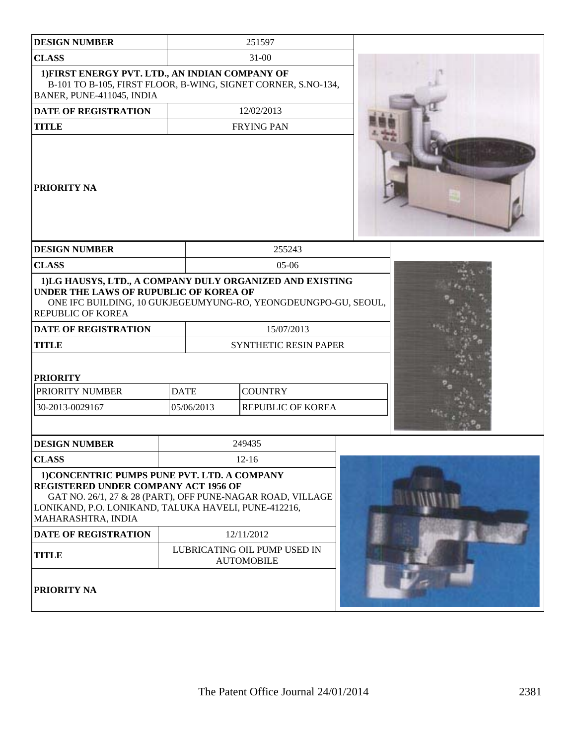| <b>DESIGN NUMBER</b>                                                                                                                                                                                                                                                   |             |                              | 251597                                     |  |
|------------------------------------------------------------------------------------------------------------------------------------------------------------------------------------------------------------------------------------------------------------------------|-------------|------------------------------|--------------------------------------------|--|
| <b>CLASS</b>                                                                                                                                                                                                                                                           |             | $31 - 00$                    |                                            |  |
| 1) FIRST ENERGY PVT. LTD., AN INDIAN COMPANY OF<br>B-101 TO B-105, FIRST FLOOR, B-WING, SIGNET CORNER, S.NO-134,<br>BANER, PUNE-411045, INDIA                                                                                                                          |             |                              |                                            |  |
| <b>DATE OF REGISTRATION</b>                                                                                                                                                                                                                                            |             |                              | 12/02/2013                                 |  |
| <b>TITLE</b>                                                                                                                                                                                                                                                           |             |                              | <b>FRYING PAN</b>                          |  |
| <b>PRIORITY NA</b>                                                                                                                                                                                                                                                     |             |                              |                                            |  |
| <b>DESIGN NUMBER</b>                                                                                                                                                                                                                                                   |             |                              | 255243                                     |  |
| <b>CLASS</b>                                                                                                                                                                                                                                                           |             |                              | $05-06$                                    |  |
| 1)LG HAUSYS, LTD., A COMPANY DULY ORGANIZED AND EXISTING<br>UNDER THE LAWS OF RUPUBLIC OF KOREA OF<br>ONE IFC BUILDING, 10 GUKJEGEUMYUNG-RO, YEONGDEUNGPO-GU, SEOUL,<br><b>REPUBLIC OF KOREA</b><br><b>DATE OF REGISTRATION</b>                                        |             |                              | 15/07/2013                                 |  |
| <b>TITLE</b>                                                                                                                                                                                                                                                           |             | <b>SYNTHETIC RESIN PAPER</b> |                                            |  |
| <b>PRIORITY</b><br>PRIORITY NUMBER<br>30-2013-0029167                                                                                                                                                                                                                  | <b>DATE</b> | 05/06/2013                   | <b>COUNTRY</b><br>REPUBLIC OF KOREA        |  |
| <b>DESIGN NUMBER</b>                                                                                                                                                                                                                                                   |             |                              | 249435                                     |  |
| <b>CLASS</b>                                                                                                                                                                                                                                                           |             |                              | $12 - 16$                                  |  |
| 1) CONCENTRIC PUMPS PUNE PVT. LTD. A COMPANY<br><b>REGISTERED UNDER COMPANY ACT 1956 OF</b><br>GAT NO. 26/1, 27 & 28 (PART), OFF PUNE-NAGAR ROAD, VILLAGE<br>LONIKAND, P.O. LONIKAND, TALUKA HAVELI, PUNE-412216,<br>MAHARASHTRA, INDIA<br><b>DATE OF REGISTRATION</b> |             |                              | 12/11/2012<br>LUBRICATING OIL PUMP USED IN |  |
| <b>TITLE</b><br><b>PRIORITY NA</b>                                                                                                                                                                                                                                     |             |                              | <b>AUTOMOBILE</b>                          |  |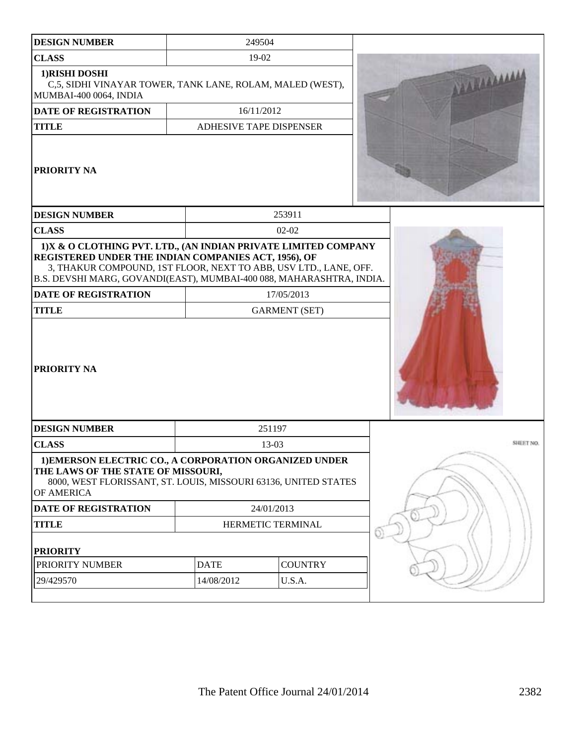| <b>DESIGN NUMBER</b>                                                                                                                                                                                                                                                | 249504                  |                |           |
|---------------------------------------------------------------------------------------------------------------------------------------------------------------------------------------------------------------------------------------------------------------------|-------------------------|----------------|-----------|
| <b>CLASS</b>                                                                                                                                                                                                                                                        | 19-02                   |                |           |
| 1) RISHI DOSHI<br>C,5, SIDHI VINAYAR TOWER, TANK LANE, ROLAM, MALED (WEST),<br>MUMBAI-400 0064, INDIA                                                                                                                                                               |                         |                |           |
| DATE OF REGISTRATION                                                                                                                                                                                                                                                | 16/11/2012              |                |           |
| <b>TITLE</b>                                                                                                                                                                                                                                                        | ADHESIVE TAPE DISPENSER |                |           |
| PRIORITY NA                                                                                                                                                                                                                                                         |                         |                |           |
| <b>DESIGN NUMBER</b>                                                                                                                                                                                                                                                |                         | 253911         |           |
| <b>CLASS</b>                                                                                                                                                                                                                                                        |                         | $02 - 02$      |           |
| 1) X & O CLOTHING PVT. LTD., (AN INDIAN PRIVATE LIMITED COMPANY<br>REGISTERED UNDER THE INDIAN COMPANIES ACT, 1956), OF<br>3, THAKUR COMPOUND, 1ST FLOOR, NEXT TO ABB, USV LTD., LANE, OFF.<br>B.S. DEVSHI MARG, GOVANDI(EAST), MUMBAI-400 088, MAHARASHTRA, INDIA. |                         |                |           |
| <b>DATE OF REGISTRATION</b>                                                                                                                                                                                                                                         | 17/05/2013              |                |           |
| <b>TITLE</b>                                                                                                                                                                                                                                                        | <b>GARMENT (SET)</b>    |                |           |
| <b>PRIORITY NA</b>                                                                                                                                                                                                                                                  |                         |                |           |
| <b>DESIGN NUMBER</b>                                                                                                                                                                                                                                                | 251197                  |                |           |
| <b>CLASS</b>                                                                                                                                                                                                                                                        | $13-03$                 |                | SHEET NO. |
| 1) EMERSON ELECTRIC CO., A CORPORATION ORGANIZED UNDER<br>THE LAWS OF THE STATE OF MISSOURI,<br>8000, WEST FLORISSANT, ST. LOUIS, MISSOURI 63136, UNITED STATES<br>OF AMERICA                                                                                       |                         |                |           |
| <b>DATE OF REGISTRATION</b>                                                                                                                                                                                                                                         | 24/01/2013              |                |           |
| <b>TITLE</b>                                                                                                                                                                                                                                                        | HERMETIC TERMINAL       |                |           |
| <b>PRIORITY</b>                                                                                                                                                                                                                                                     |                         |                |           |
| PRIORITY NUMBER                                                                                                                                                                                                                                                     | <b>DATE</b>             | <b>COUNTRY</b> |           |
| 29/429570                                                                                                                                                                                                                                                           | 14/08/2012              | U.S.A.         |           |
|                                                                                                                                                                                                                                                                     |                         |                |           |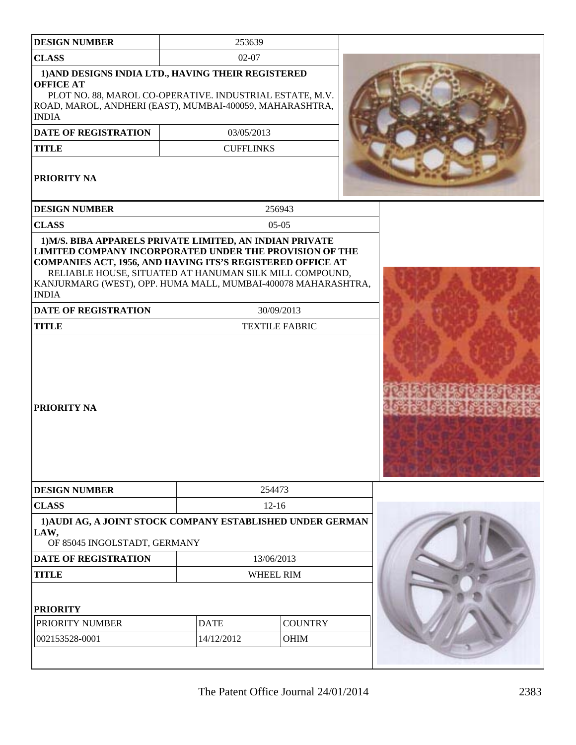| <b>DESIGN NUMBER</b>                                                                                                                                                                                                                                                     | 253639           |                       |  |
|--------------------------------------------------------------------------------------------------------------------------------------------------------------------------------------------------------------------------------------------------------------------------|------------------|-----------------------|--|
| <b>CLASS</b>                                                                                                                                                                                                                                                             | $02 - 07$        |                       |  |
| 1) AND DESIGNS INDIA LTD., HAVING THEIR REGISTERED<br><b>OFFICE AT</b><br>PLOT NO. 88, MAROL CO-OPERATIVE. INDUSTRIAL ESTATE, M.V.<br>ROAD, MAROL, ANDHERI (EAST), MUMBAI-400059, MAHARASHTRA,<br><b>INDIA</b>                                                           |                  |                       |  |
| DATE OF REGISTRATION                                                                                                                                                                                                                                                     | 03/05/2013       |                       |  |
| <b>TITLE</b>                                                                                                                                                                                                                                                             | <b>CUFFLINKS</b> |                       |  |
| PRIORITY NA                                                                                                                                                                                                                                                              |                  |                       |  |
| <b>DESIGN NUMBER</b>                                                                                                                                                                                                                                                     |                  | 256943                |  |
| <b>CLASS</b>                                                                                                                                                                                                                                                             |                  | $05-05$               |  |
| <b>LIMITED COMPANY INCORPORATED UNDER THE PROVISION OF THE</b><br>COMPANIES ACT, 1956, AND HAVING ITS'S REGISTERED OFFICE AT<br>RELIABLE HOUSE, SITUATED AT HANUMAN SILK MILL COMPOUND,<br>KANJURMARG (WEST), OPP. HUMA MALL, MUMBAI-400078 MAHARASHTRA,<br><b>INDIA</b> |                  |                       |  |
| <b>DATE OF REGISTRATION</b>                                                                                                                                                                                                                                              |                  | 30/09/2013            |  |
| <b>TITLE</b>                                                                                                                                                                                                                                                             |                  | <b>TEXTILE FABRIC</b> |  |
| PRIORITY NA                                                                                                                                                                                                                                                              |                  |                       |  |
| <b>DESIGN NUMBER</b>                                                                                                                                                                                                                                                     |                  | 254473                |  |
| <b>CLASS</b>                                                                                                                                                                                                                                                             |                  | $12 - 16$             |  |
| 1) AUDI AG, A JOINT STOCK COMPANY ESTABLISHED UNDER GERMAN<br>LAW,<br>OF 85045 INGOLSTADT, GERMANY                                                                                                                                                                       |                  |                       |  |
| <b>DATE OF REGISTRATION</b>                                                                                                                                                                                                                                              | 13/06/2013       |                       |  |
| <b>TITLE</b>                                                                                                                                                                                                                                                             | WHEEL RIM        |                       |  |
| <b>PRIORITY</b><br>PRIORITY NUMBER                                                                                                                                                                                                                                       | <b>DATE</b>      | <b>COUNTRY</b>        |  |
| 002153528-0001                                                                                                                                                                                                                                                           | 14/12/2012       | <b>OHIM</b>           |  |
|                                                                                                                                                                                                                                                                          |                  |                       |  |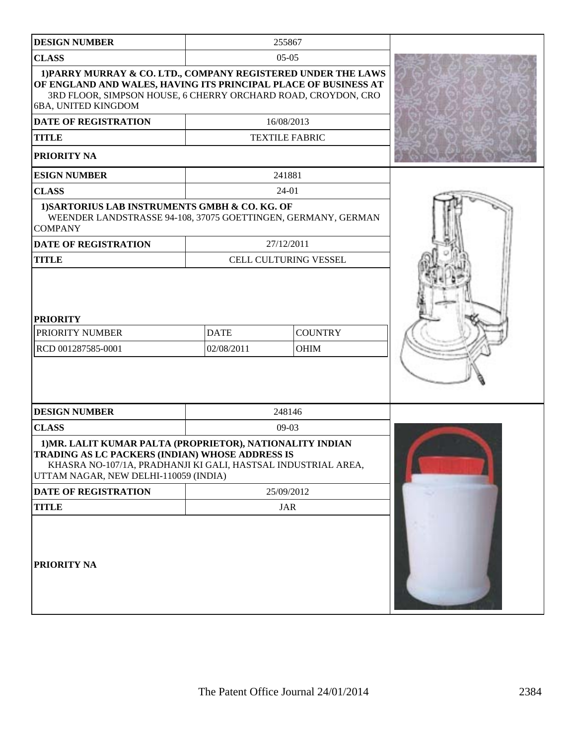| <b>DESIGN NUMBER</b>                                                                                                                                                                                                     |                                                            | 255867                       |  |
|--------------------------------------------------------------------------------------------------------------------------------------------------------------------------------------------------------------------------|------------------------------------------------------------|------------------------------|--|
| <b>CLASS</b>                                                                                                                                                                                                             | $05-05$                                                    |                              |  |
| 1) PARRY MURRAY & CO. LTD., COMPANY REGISTERED UNDER THE LAWS<br>OF ENGLAND AND WALES, HAVING ITS PRINCIPAL PLACE OF BUSINESS AT<br>3RD FLOOR, SIMPSON HOUSE, 6 CHERRY ORCHARD ROAD, CROYDON, CRO<br>6BA, UNITED KINGDOM |                                                            |                              |  |
| <b>DATE OF REGISTRATION</b>                                                                                                                                                                                              |                                                            | 16/08/2013                   |  |
| <b>TITLE</b>                                                                                                                                                                                                             |                                                            | <b>TEXTILE FABRIC</b>        |  |
| <b>PRIORITY NA</b>                                                                                                                                                                                                       |                                                            |                              |  |
| <b>ESIGN NUMBER</b>                                                                                                                                                                                                      |                                                            | 241881                       |  |
| <b>CLASS</b>                                                                                                                                                                                                             |                                                            | 24-01                        |  |
| 1) SARTORIUS LAB INSTRUMENTS GMBH & CO. KG. OF<br>WEENDER LANDSTRASSE 94-108, 37075 GOETTINGEN, GERMANY, GERMAN<br><b>COMPANY</b>                                                                                        |                                                            |                              |  |
| <b>DATE OF REGISTRATION</b>                                                                                                                                                                                              |                                                            | 27/12/2011                   |  |
| <b>TITLE</b>                                                                                                                                                                                                             |                                                            | <b>CELL CULTURING VESSEL</b> |  |
| <b>PRIORITY</b><br>PRIORITY NUMBER<br>RCD 001287585-0001                                                                                                                                                                 | <b>DATE</b><br><b>COUNTRY</b><br>02/08/2011<br><b>OHIM</b> |                              |  |
| <b>DESIGN NUMBER</b>                                                                                                                                                                                                     |                                                            | 248146                       |  |
| <b>CLASS</b>                                                                                                                                                                                                             |                                                            | $09-03$                      |  |
| 1) MR. LALIT KUMAR PALTA (PROPRIETOR), NATIONALITY INDIAN<br>TRADING AS LC PACKERS (INDIAN) WHOSE ADDRESS IS<br>KHASRA NO-107/1A, PRADHANJI KI GALI, HASTSAL INDUSTRIAL AREA,<br>UTTAM NAGAR, NEW DELHI-110059 (INDIA)   |                                                            |                              |  |
| <b>DATE OF REGISTRATION</b>                                                                                                                                                                                              |                                                            | 25/09/2012                   |  |
| <b>TITLE</b>                                                                                                                                                                                                             |                                                            | <b>JAR</b>                   |  |
| PRIORITY NA                                                                                                                                                                                                              |                                                            |                              |  |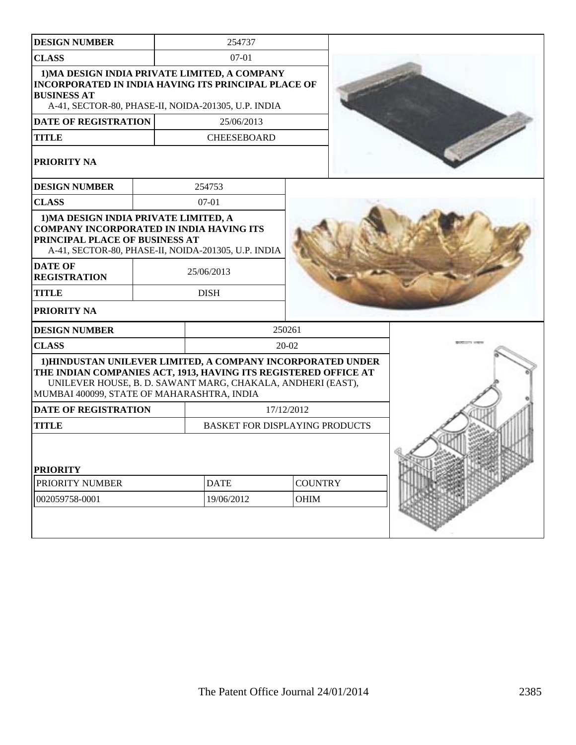| <b>DESIGN NUMBER</b>                                                                                                       |            | 254737                                                                                                                     |                |  |
|----------------------------------------------------------------------------------------------------------------------------|------------|----------------------------------------------------------------------------------------------------------------------------|----------------|--|
| <b>CLASS</b>                                                                                                               |            | 07-01                                                                                                                      |                |  |
| <b>INCORPORATED IN INDIA HAVING ITS PRINCIPAL PLACE OF</b><br><b>BUSINESS AT</b>                                           |            | 1) MA DESIGN INDIA PRIVATE LIMITED, A COMPANY<br>A-41, SECTOR-80, PHASE-II, NOIDA-201305, U.P. INDIA                       |                |  |
| <b>DATE OF REGISTRATION</b>                                                                                                |            | 25/06/2013                                                                                                                 |                |  |
| <b>TITLE</b>                                                                                                               |            | <b>CHEESEBOARD</b>                                                                                                         |                |  |
| <b>PRIORITY NA</b>                                                                                                         |            |                                                                                                                            |                |  |
| <b>DESIGN NUMBER</b>                                                                                                       |            | 254753                                                                                                                     |                |  |
| <b>CLASS</b>                                                                                                               |            | $07-01$                                                                                                                    |                |  |
| 1) MA DESIGN INDIA PRIVATE LIMITED, A<br><b>COMPANY INCORPORATED IN INDIA HAVING ITS</b><br>PRINCIPAL PLACE OF BUSINESS AT |            | A-41, SECTOR-80, PHASE-II, NOIDA-201305, U.P. INDIA                                                                        |                |  |
| <b>DATE OF</b><br><b>REGISTRATION</b>                                                                                      |            | 25/06/2013                                                                                                                 |                |  |
| <b>TITLE</b>                                                                                                               |            | <b>DISH</b>                                                                                                                |                |  |
| <b>PRIORITY NA</b>                                                                                                         |            |                                                                                                                            |                |  |
| <b>DESIGN NUMBER</b>                                                                                                       |            |                                                                                                                            | 250261         |  |
| <b>CLASS</b>                                                                                                               |            |                                                                                                                            | 20-02          |  |
| THE INDIAN COMPANIES ACT, 1913, HAVING ITS REGISTERED OFFICE AT<br>MUMBAI 400099, STATE OF MAHARASHTRA, INDIA              |            | 1) HINDUSTAN UNILEVER LIMITED, A COMPANY INCORPORATED UNDER<br>UNILEVER HOUSE, B. D. SAWANT MARG, CHAKALA, ANDHERI (EAST), |                |  |
| <b>DATE OF REGISTRATION</b>                                                                                                | 17/12/2012 |                                                                                                                            |                |  |
| <b>TITLE</b><br><b>BASKET FOR DISPLAYING PRODUCTS</b>                                                                      |            |                                                                                                                            |                |  |
| <b>PRIORITY</b><br>PRIORITY NUMBER                                                                                         |            | <b>DATE</b>                                                                                                                | <b>COUNTRY</b> |  |
| 002059758-0001                                                                                                             |            | 19/06/2012                                                                                                                 | OHIM           |  |
|                                                                                                                            |            |                                                                                                                            |                |  |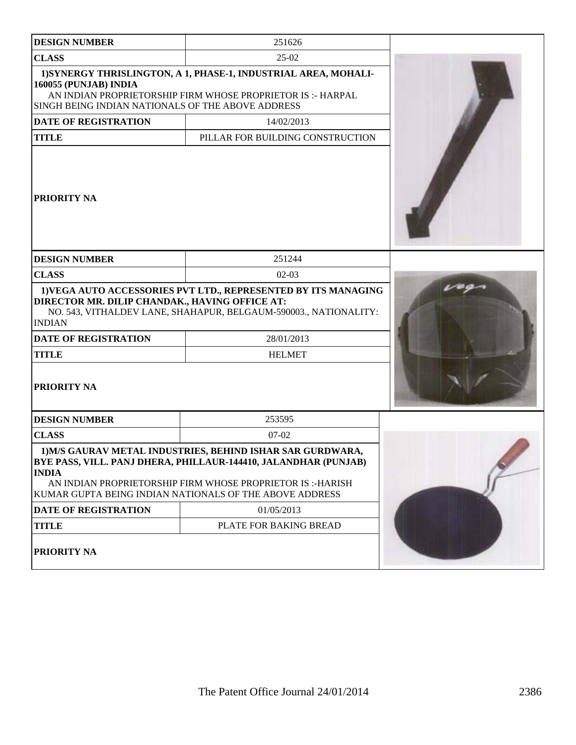| <b>DESIGN NUMBER</b>                                                       | 251626                                                                                                                                                                                                                                                |  |  |
|----------------------------------------------------------------------------|-------------------------------------------------------------------------------------------------------------------------------------------------------------------------------------------------------------------------------------------------------|--|--|
| <b>CLASS</b>                                                               | $25-02$                                                                                                                                                                                                                                               |  |  |
| 160055 (PUNJAB) INDIA<br>SINGH BEING INDIAN NATIONALS OF THE ABOVE ADDRESS | 1) SYNERGY THRISLINGTON, A 1, PHASE-1, INDUSTRIAL AREA, MOHALI-<br>AN INDIAN PROPRIETORSHIP FIRM WHOSE PROPRIETOR IS:- HARPAL                                                                                                                         |  |  |
| <b>DATE OF REGISTRATION</b>                                                | 14/02/2013                                                                                                                                                                                                                                            |  |  |
| <b>TITLE</b>                                                               | PILLAR FOR BUILDING CONSTRUCTION                                                                                                                                                                                                                      |  |  |
| <b>PRIORITY NA</b>                                                         |                                                                                                                                                                                                                                                       |  |  |
| <b>DESIGN NUMBER</b>                                                       | 251244                                                                                                                                                                                                                                                |  |  |
| <b>CLASS</b>                                                               | $02-03$                                                                                                                                                                                                                                               |  |  |
| DIRECTOR MR. DILIP CHANDAK., HAVING OFFICE AT:<br><b>INDIAN</b>            | 1) VEGA AUTO ACCESSORIES PVT LTD., REPRESENTED BY ITS MANAGING<br>NO. 543, VITHALDEV LANE, SHAHAPUR, BELGAUM-590003., NATIONALITY:                                                                                                                    |  |  |
| <b>DATE OF REGISTRATION</b>                                                | 28/01/2013                                                                                                                                                                                                                                            |  |  |
| <b>TITLE</b>                                                               | <b>HELMET</b>                                                                                                                                                                                                                                         |  |  |
| <b>PRIORITY NA</b>                                                         |                                                                                                                                                                                                                                                       |  |  |
| <b>DESIGN NUMBER</b>                                                       | 253595                                                                                                                                                                                                                                                |  |  |
| <b>CLASS</b>                                                               | $07-02$                                                                                                                                                                                                                                               |  |  |
| <b>INDIA</b>                                                               | 1) M/S GAURAV METAL INDUSTRIES, BEHIND ISHAR SAR GURDWARA,<br>BYE PASS, VILL. PANJ DHERA, PHILLAUR-144410, JALANDHAR (PUNJAB)<br>AN INDIAN PROPRIETORSHIP FIRM WHOSE PROPRIETOR IS:-HARISH<br>KUMAR GUPTA BEING INDIAN NATIONALS OF THE ABOVE ADDRESS |  |  |
| DATE OF REGISTRATION                                                       | 01/05/2013                                                                                                                                                                                                                                            |  |  |
| <b>TITLE</b>                                                               | PLATE FOR BAKING BREAD                                                                                                                                                                                                                                |  |  |
| PRIORITY NA                                                                |                                                                                                                                                                                                                                                       |  |  |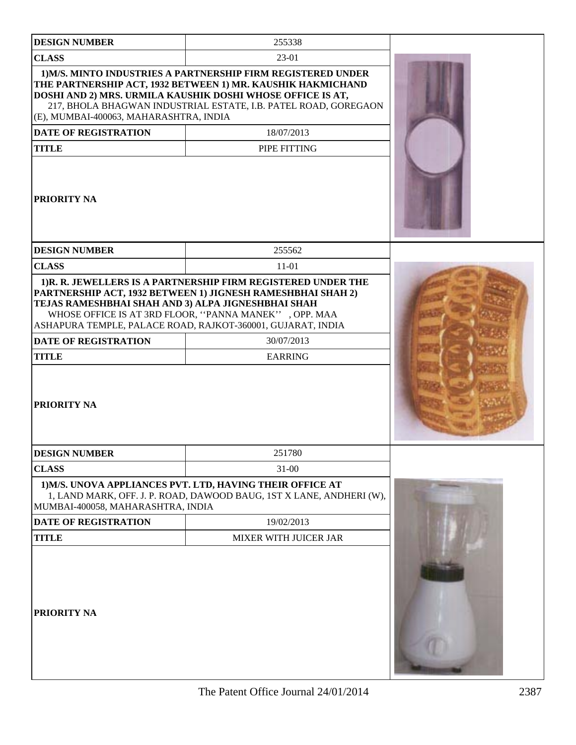| <b>DESIGN NUMBER</b>                                                                                                    | 255338                                                                                                                                                                                                                                                       |  |
|-------------------------------------------------------------------------------------------------------------------------|--------------------------------------------------------------------------------------------------------------------------------------------------------------------------------------------------------------------------------------------------------------|--|
| <b>CLASS</b>                                                                                                            | 23-01                                                                                                                                                                                                                                                        |  |
| (E), MUMBAI-400063, MAHARASHTRA, INDIA                                                                                  | 1) M/S. MINTO INDUSTRIES A PARTNERSHIP FIRM REGISTERED UNDER<br>THE PARTNERSHIP ACT, 1932 BETWEEN 1) MR. KAUSHIK HAKMICHAND<br>DOSHI AND 2) MRS. URMILA KAUSHIK DOSHI WHOSE OFFICE IS AT,<br>217, BHOLA BHAGWAN INDUSTRIAL ESTATE, I.B. PATEL ROAD, GOREGAON |  |
| <b>DATE OF REGISTRATION</b>                                                                                             | 18/07/2013                                                                                                                                                                                                                                                   |  |
| <b>TITLE</b>                                                                                                            | PIPE FITTING                                                                                                                                                                                                                                                 |  |
| <b>PRIORITY NA</b>                                                                                                      |                                                                                                                                                                                                                                                              |  |
| <b>DESIGN NUMBER</b>                                                                                                    | 255562                                                                                                                                                                                                                                                       |  |
| <b>CLASS</b>                                                                                                            | $11 - 01$                                                                                                                                                                                                                                                    |  |
| TEJAS RAMESHBHAI SHAH AND 3) ALPA JIGNESHBHAI SHAH<br><b>DATE OF REGISTRATION</b><br><b>TITLE</b><br><b>PRIORITY NA</b> | PARTNERSHIP ACT, 1932 BETWEEN 1) JIGNESH RAMESHBHAI SHAH 2)<br>WHOSE OFFICE IS AT 3RD FLOOR, "PANNA MANEK", OPP. MAA<br>ASHAPURA TEMPLE, PALACE ROAD, RAJKOT-360001, GUJARAT, INDIA<br>30/07/2013<br><b>EARRING</b>                                          |  |
| <b>DESIGN NUMBER</b>                                                                                                    | 251780                                                                                                                                                                                                                                                       |  |
| <b>CLASS</b>                                                                                                            | $31 - 00$                                                                                                                                                                                                                                                    |  |
| MUMBAI-400058, MAHARASHTRA, INDIA                                                                                       | 1) M/S. UNOVA APPLIANCES PVT. LTD, HAVING THEIR OFFICE AT<br>1, LAND MARK, OFF. J. P. ROAD, DAWOOD BAUG, 1ST X LANE, ANDHERI (W),                                                                                                                            |  |
| <b>DATE OF REGISTRATION</b>                                                                                             | 19/02/2013                                                                                                                                                                                                                                                   |  |
| <b>TITLE</b>                                                                                                            | <b>MIXER WITH JUICER JAR</b>                                                                                                                                                                                                                                 |  |
| <b>PRIORITY NA</b>                                                                                                      |                                                                                                                                                                                                                                                              |  |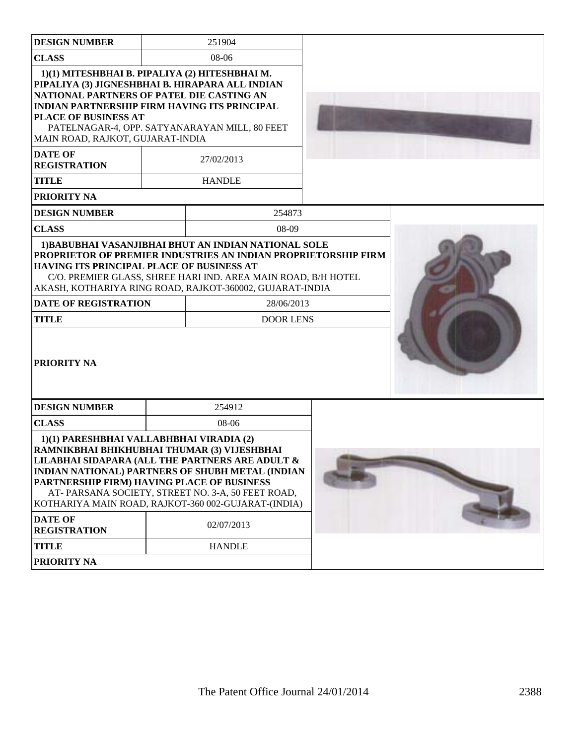| <b>DESIGN NUMBER</b>                                                                                                                                                                                                                                                                                                                                                                                                   |  | 251904                                        |  |
|------------------------------------------------------------------------------------------------------------------------------------------------------------------------------------------------------------------------------------------------------------------------------------------------------------------------------------------------------------------------------------------------------------------------|--|-----------------------------------------------|--|
| <b>CLASS</b>                                                                                                                                                                                                                                                                                                                                                                                                           |  | 08-06                                         |  |
| 1)(1) MITESHBHAI B. PIPALIYA (2) HITESHBHAI M.<br>PIPALIYA (3) JIGNESHBHAI B. HIRAPARA ALL INDIAN<br>NATIONAL PARTNERS OF PATEL DIE CASTING AN<br><b>INDIAN PARTNERSHIP FIRM HAVING ITS PRINCIPAL</b><br><b>PLACE OF BUSINESS AT</b><br>MAIN ROAD, RAJKOT, GUJARAT-INDIA                                                                                                                                               |  | PATELNAGAR-4, OPP. SATYANARAYAN MILL, 80 FEET |  |
| <b>DATE OF</b><br><b>REGISTRATION</b>                                                                                                                                                                                                                                                                                                                                                                                  |  | 27/02/2013                                    |  |
| <b>TITLE</b>                                                                                                                                                                                                                                                                                                                                                                                                           |  | <b>HANDLE</b>                                 |  |
| <b>PRIORITY NA</b>                                                                                                                                                                                                                                                                                                                                                                                                     |  |                                               |  |
| <b>DESIGN NUMBER</b>                                                                                                                                                                                                                                                                                                                                                                                                   |  | 254873                                        |  |
| <b>CLASS</b>                                                                                                                                                                                                                                                                                                                                                                                                           |  | 08-09                                         |  |
| 1) BABUBHAI VASANJIBHAI BHUT AN INDIAN NATIONAL SOLE<br><b>PROPRIETOR OF PREMIER INDUSTRIES AN INDIAN PROPRIETORSHIP FIRM</b><br>HAVING ITS PRINCIPAL PLACE OF BUSINESS AT<br>C/O. PREMIER GLASS, SHREE HARI IND. AREA MAIN ROAD, B/H HOTEL<br>AKASH, KOTHARIYA RING ROAD, RAJKOT-360002, GUJARAT-INDIA<br><b>DATE OF REGISTRATION</b><br>28/06/2013                                                                   |  |                                               |  |
| <b>TITLE</b>                                                                                                                                                                                                                                                                                                                                                                                                           |  | <b>DOOR LENS</b>                              |  |
| <b>PRIORITY NA</b>                                                                                                                                                                                                                                                                                                                                                                                                     |  |                                               |  |
| <b>DESIGN NUMBER</b>                                                                                                                                                                                                                                                                                                                                                                                                   |  | 254912                                        |  |
| <b>CLASS</b>                                                                                                                                                                                                                                                                                                                                                                                                           |  | 08-06                                         |  |
| 1)(1) PARESHBHAI VALLABHBHAI VIRADIA (2)<br>RAMNIKBHAI BHIKHUBHAI THUMAR (3) VIJESHBHAI<br>LILABHAI SIDAPARA (ALL THE PARTNERS ARE ADULT &<br><b>INDIAN NATIONAL) PARTNERS OF SHUBH METAL (INDIAN</b><br>PARTNERSHIP FIRM) HAVING PLACE OF BUSINESS<br>AT-PARSANA SOCIETY, STREET NO. 3-A, 50 FEET ROAD,<br>KOTHARIYA MAIN ROAD, RAJKOT-360 002-GUJARAT-(INDIA)<br><b>DATE OF</b><br>02/07/2013<br><b>REGISTRATION</b> |  |                                               |  |
| <b>TITLE</b>                                                                                                                                                                                                                                                                                                                                                                                                           |  | <b>HANDLE</b>                                 |  |
| <b>PRIORITY NA</b>                                                                                                                                                                                                                                                                                                                                                                                                     |  |                                               |  |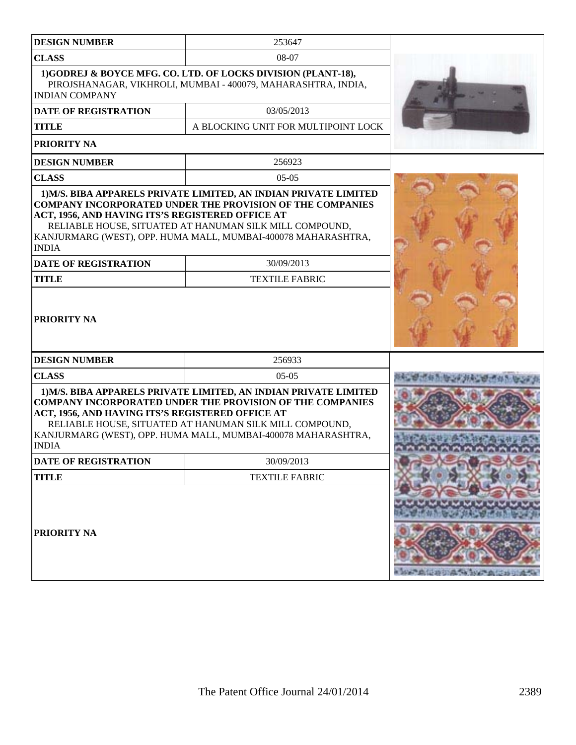| <b>DESIGN NUMBER</b>                                                                                                                                                                                                                                             | 253647                                                                                                                                                                                                                                                           |                               |
|------------------------------------------------------------------------------------------------------------------------------------------------------------------------------------------------------------------------------------------------------------------|------------------------------------------------------------------------------------------------------------------------------------------------------------------------------------------------------------------------------------------------------------------|-------------------------------|
| <b>CLASS</b>                                                                                                                                                                                                                                                     | 08-07                                                                                                                                                                                                                                                            |                               |
| <b>INDIAN COMPANY</b>                                                                                                                                                                                                                                            | 1)GODREJ & BOYCE MFG. CO. LTD. OF LOCKS DIVISION (PLANT-18),<br>PIROJSHANAGAR, VIKHROLI, MUMBAI - 400079, MAHARASHTRA, INDIA,                                                                                                                                    |                               |
| <b>DATE OF REGISTRATION</b>                                                                                                                                                                                                                                      | 03/05/2013                                                                                                                                                                                                                                                       |                               |
| <b>TITLE</b>                                                                                                                                                                                                                                                     | A BLOCKING UNIT FOR MULTIPOINT LOCK                                                                                                                                                                                                                              |                               |
| PRIORITY NA                                                                                                                                                                                                                                                      |                                                                                                                                                                                                                                                                  |                               |
| <b>DESIGN NUMBER</b>                                                                                                                                                                                                                                             | 256923                                                                                                                                                                                                                                                           |                               |
| <b>CLASS</b>                                                                                                                                                                                                                                                     | $05-05$                                                                                                                                                                                                                                                          |                               |
| <b>COMPANY INCORPORATED UNDER THE PROVISION OF THE COMPANIES</b><br>ACT, 1956, AND HAVING ITS'S REGISTERED OFFICE AT<br>RELIABLE HOUSE, SITUATED AT HANUMAN SILK MILL COMPOUND,<br>KANJURMARG (WEST), OPP. HUMA MALL, MUMBAI-400078 MAHARASHTRA,<br><b>INDIA</b> |                                                                                                                                                                                                                                                                  |                               |
| <b>DATE OF REGISTRATION</b>                                                                                                                                                                                                                                      | 30/09/2013                                                                                                                                                                                                                                                       |                               |
| <b>TITLE</b>                                                                                                                                                                                                                                                     | <b>TEXTILE FABRIC</b>                                                                                                                                                                                                                                            |                               |
| PRIORITY NA                                                                                                                                                                                                                                                      |                                                                                                                                                                                                                                                                  |                               |
| <b>DESIGN NUMBER</b>                                                                                                                                                                                                                                             | 256933                                                                                                                                                                                                                                                           |                               |
| <b>CLASS</b>                                                                                                                                                                                                                                                     | $05-05$                                                                                                                                                                                                                                                          |                               |
| ACT, 1956, AND HAVING ITS'S REGISTERED OFFICE AT<br><b>INDIA</b>                                                                                                                                                                                                 | 1) M/S. BIBA APPARELS PRIVATE LIMITED, AN INDIAN PRIVATE LIMITED<br><b>COMPANY INCORPORATED UNDER THE PROVISION OF THE COMPANIES</b><br>RELIABLE HOUSE, SITUATED AT HANUMAN SILK MILL COMPOUND,<br>KANJURMARG (WEST), OPP. HUMA MALL, MUMBAI-400078 MAHARASHTRA, |                               |
| DATE OF REGISTRATION                                                                                                                                                                                                                                             | 30/09/2013                                                                                                                                                                                                                                                       |                               |
| <b>TITLE</b>                                                                                                                                                                                                                                                     | <b>TEXTILE FABRIC</b>                                                                                                                                                                                                                                            |                               |
| PRIORITY NA                                                                                                                                                                                                                                                      |                                                                                                                                                                                                                                                                  | a later that is an in the way |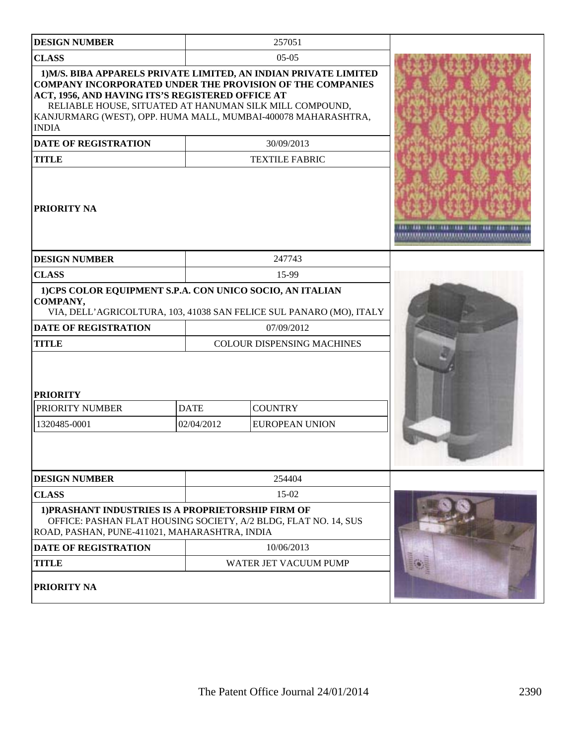| <b>DESIGN NUMBER</b>                                                                                                                                                                                                                                             |             | 257051                                                                                                                 |  |
|------------------------------------------------------------------------------------------------------------------------------------------------------------------------------------------------------------------------------------------------------------------|-------------|------------------------------------------------------------------------------------------------------------------------|--|
| <b>CLASS</b>                                                                                                                                                                                                                                                     |             | $05-05$                                                                                                                |  |
| <b>COMPANY INCORPORATED UNDER THE PROVISION OF THE COMPANIES</b><br>ACT, 1956, AND HAVING ITS'S REGISTERED OFFICE AT<br>RELIABLE HOUSE, SITUATED AT HANUMAN SILK MILL COMPOUND,<br>KANJURMARG (WEST), OPP. HUMA MALL, MUMBAI-400078 MAHARASHTRA,<br><b>INDIA</b> |             | 1) M/S. BIBA APPARELS PRIVATE LIMITED, AN INDIAN PRIVATE LIMITED                                                       |  |
| <b>DATE OF REGISTRATION</b>                                                                                                                                                                                                                                      |             | 30/09/2013                                                                                                             |  |
| <b>TITLE</b>                                                                                                                                                                                                                                                     |             | <b>TEXTILE FABRIC</b>                                                                                                  |  |
| <b>PRIORITY NA</b>                                                                                                                                                                                                                                               |             |                                                                                                                        |  |
| <b>DESIGN NUMBER</b>                                                                                                                                                                                                                                             |             | 247743                                                                                                                 |  |
| <b>CLASS</b>                                                                                                                                                                                                                                                     |             | 15-99                                                                                                                  |  |
| 1)CPS COLOR EQUIPMENT S.P.A. CON UNICO SOCIO, AN ITALIAN<br>COMPANY,<br><b>DATE OF REGISTRATION</b><br><b>TITLE</b><br><b>PRIORITY</b>                                                                                                                           |             | VIA, DELL'AGRICOLTURA, 103, 41038 SAN FELICE SUL PANARO (MO), ITALY<br>07/09/2012<br><b>COLOUR DISPENSING MACHINES</b> |  |
| PRIORITY NUMBER                                                                                                                                                                                                                                                  | <b>DATE</b> | <b>COUNTRY</b>                                                                                                         |  |
| 1320485-0001                                                                                                                                                                                                                                                     | 02/04/2012  | <b>EUROPEAN UNION</b>                                                                                                  |  |
|                                                                                                                                                                                                                                                                  |             |                                                                                                                        |  |
| <b>DESIGN NUMBER</b>                                                                                                                                                                                                                                             |             | 254404                                                                                                                 |  |
| <b>CLASS</b>                                                                                                                                                                                                                                                     | 15-02       |                                                                                                                        |  |
| 1) PRASHANT INDUSTRIES IS A PROPRIETORSHIP FIRM OF<br>OFFICE: PASHAN FLAT HOUSING SOCIETY, A/2 BLDG, FLAT NO. 14, SUS<br>ROAD, PASHAN, PUNE-411021, MAHARASHTRA, INDIA                                                                                           |             |                                                                                                                        |  |
| <b>DATE OF REGISTRATION</b>                                                                                                                                                                                                                                      |             | 10/06/2013                                                                                                             |  |
| <b>TITLE</b>                                                                                                                                                                                                                                                     |             | WATER JET VACUUM PUMP                                                                                                  |  |
| <b>PRIORITY NA</b>                                                                                                                                                                                                                                               |             |                                                                                                                        |  |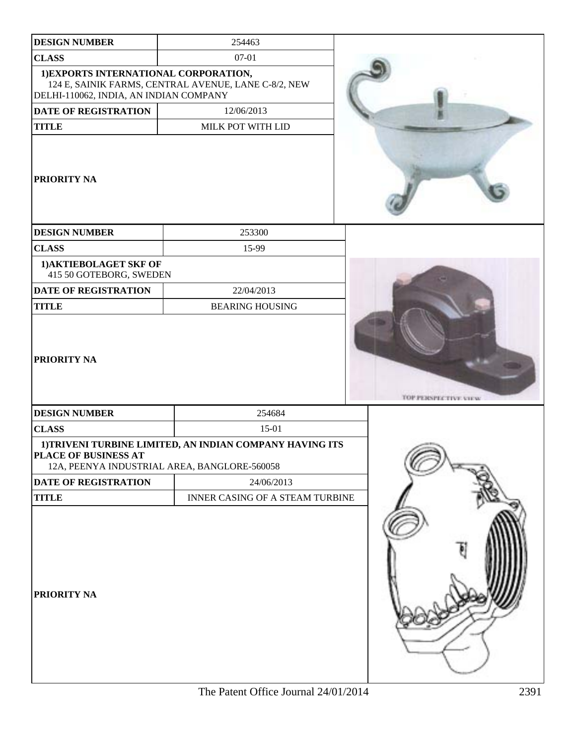| <b>DESIGN NUMBER</b>                                                            | 254463                                                   |                             |
|---------------------------------------------------------------------------------|----------------------------------------------------------|-----------------------------|
| <b>CLASS</b>                                                                    | 07-01                                                    |                             |
| 1) EXPORTS INTERNATIONAL CORPORATION,<br>DELHI-110062, INDIA, AN INDIAN COMPANY | 124 E, SAINIK FARMS, CENTRAL AVENUE, LANE C-8/2, NEW     |                             |
| DATE OF REGISTRATION                                                            | 12/06/2013                                               |                             |
| <b>TITLE</b>                                                                    | MILK POT WITH LID                                        |                             |
| <b>PRIORITY NA</b>                                                              |                                                          |                             |
| <b>DESIGN NUMBER</b>                                                            | 253300                                                   |                             |
| <b>CLASS</b>                                                                    | 15-99                                                    |                             |
| 1) AKTIEBOLAGET SKF OF<br>415 50 GOTEBORG, SWEDEN                               |                                                          |                             |
| DATE OF REGISTRATION                                                            | 22/04/2013                                               |                             |
| <b>TITLE</b>                                                                    | <b>BEARING HOUSING</b>                                   |                             |
| <b>PRIORITY NA</b>                                                              |                                                          | <b>TOP PERSPECTIVE VIEW</b> |
| <b>DESIGN NUMBER</b>                                                            | 254684                                                   |                             |
| <b>CLASS</b>                                                                    | 15-01                                                    |                             |
| PLACE OF BUSINESS AT<br>12A, PEENYA INDUSTRIAL AREA, BANGLORE-560058            | 1) TRIVENI TURBINE LIMITED, AN INDIAN COMPANY HAVING ITS |                             |
| DATE OF REGISTRATION                                                            | 24/06/2013                                               |                             |
| <b>TITLE</b>                                                                    | INNER CASING OF A STEAM TURBINE                          |                             |
| <b>PRIORITY NA</b>                                                              |                                                          |                             |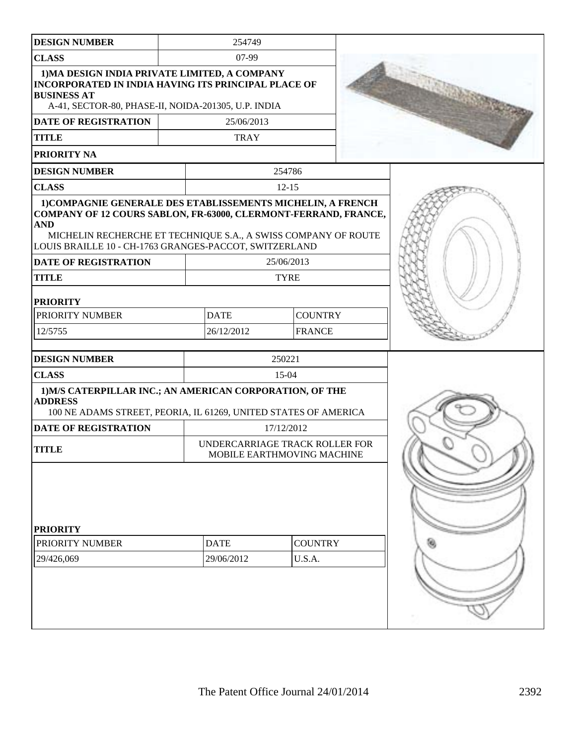| <b>DESIGN NUMBER</b>                                                                                                                                                                                                                                                                                    | 254749                                                       |                          |  |  |
|---------------------------------------------------------------------------------------------------------------------------------------------------------------------------------------------------------------------------------------------------------------------------------------------------------|--------------------------------------------------------------|--------------------------|--|--|
| <b>CLASS</b>                                                                                                                                                                                                                                                                                            | 07-99                                                        |                          |  |  |
| 1) MA DESIGN INDIA PRIVATE LIMITED, A COMPANY<br><b>INCORPORATED IN INDIA HAVING ITS PRINCIPAL PLACE OF</b><br><b>BUSINESS AT</b><br>A-41, SECTOR-80, PHASE-II, NOIDA-201305, U.P. INDIA<br><b>DATE OF REGISTRATION</b><br><b>TITLE</b>                                                                 | 25/06/2013<br><b>TRAY</b>                                    |                          |  |  |
| PRIORITY NA                                                                                                                                                                                                                                                                                             |                                                              |                          |  |  |
| <b>DESIGN NUMBER</b>                                                                                                                                                                                                                                                                                    |                                                              | 254786                   |  |  |
| <b>CLASS</b>                                                                                                                                                                                                                                                                                            |                                                              | $12 - 15$                |  |  |
| 1) COMPAGNIE GENERALE DES ETABLISSEMENTS MICHELIN, A FRENCH<br>COMPANY OF 12 COURS SABLON, FR-63000, CLERMONT-FERRAND, FRANCE,<br><b>AND</b><br>MICHELIN RECHERCHE ET TECHNIQUE S.A., A SWISS COMPANY OF ROUTE<br>LOUIS BRAILLE 10 - CH-1763 GRANGES-PACCOT, SWITZERLAND<br><b>DATE OF REGISTRATION</b> |                                                              | 25/06/2013               |  |  |
| <b>TITLE</b>                                                                                                                                                                                                                                                                                            |                                                              | <b>TYRE</b>              |  |  |
|                                                                                                                                                                                                                                                                                                         |                                                              |                          |  |  |
| <b>PRIORITY</b>                                                                                                                                                                                                                                                                                         |                                                              |                          |  |  |
| PRIORITY NUMBER                                                                                                                                                                                                                                                                                         | <b>DATE</b>                                                  | <b>COUNTRY</b>           |  |  |
| 12/5755                                                                                                                                                                                                                                                                                                 | 26/12/2012<br><b>FRANCE</b>                                  |                          |  |  |
| <b>DESIGN NUMBER</b>                                                                                                                                                                                                                                                                                    |                                                              | 250221                   |  |  |
| <b>CLASS</b>                                                                                                                                                                                                                                                                                            |                                                              | 15-04                    |  |  |
| 1) M/S CATERPILLAR INC.; AN AMERICAN CORPORATION, OF THE<br><b>ADDRESS</b><br>100 NE ADAMS STREET, PEORIA, IL 61269, UNITED STATES OF AMERICA                                                                                                                                                           |                                                              |                          |  |  |
| <b>DATE OF REGISTRATION</b>                                                                                                                                                                                                                                                                             | 17/12/2012                                                   |                          |  |  |
| <b>TITLE</b>                                                                                                                                                                                                                                                                                            | UNDERCARRIAGE TRACK ROLLER FOR<br>MOBILE EARTHMOVING MACHINE |                          |  |  |
| <b>PRIORITY</b><br>PRIORITY NUMBER<br>29/426,069                                                                                                                                                                                                                                                        | <b>DATE</b><br>29/06/2012                                    | <b>COUNTRY</b><br>U.S.A. |  |  |
|                                                                                                                                                                                                                                                                                                         |                                                              |                          |  |  |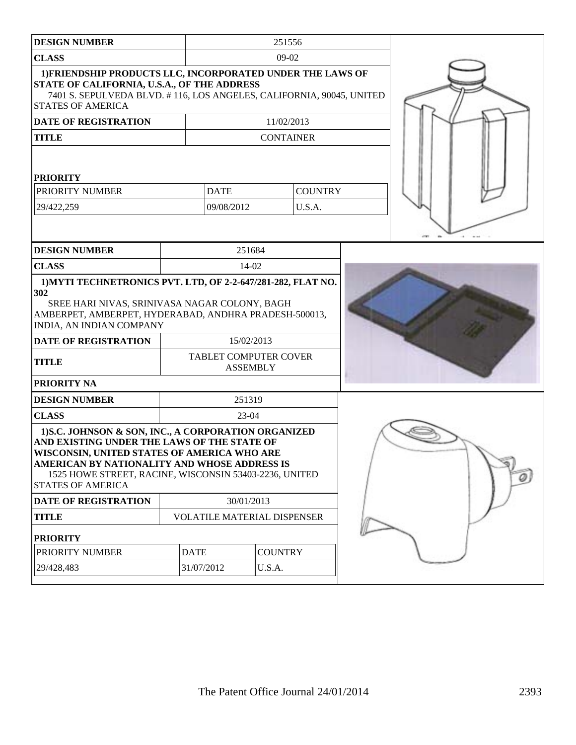| <b>DESIGN NUMBER</b>                                                                                                                                                                                                                                                                     | 251556                             |                               |                |  |  |
|------------------------------------------------------------------------------------------------------------------------------------------------------------------------------------------------------------------------------------------------------------------------------------------|------------------------------------|-------------------------------|----------------|--|--|
| <b>CLASS</b>                                                                                                                                                                                                                                                                             |                                    | $09-02$                       |                |  |  |
| 1) FRIENDSHIP PRODUCTS LLC, INCORPORATED UNDER THE LAWS OF<br>STATE OF CALIFORNIA, U.S.A., OF THE ADDRESS<br>7401 S. SEPULVEDA BLVD. #116, LOS ANGELES, CALIFORNIA, 90045, UNITED<br><b>STATES OF AMERICA</b>                                                                            |                                    |                               |                |  |  |
| <b>DATE OF REGISTRATION</b>                                                                                                                                                                                                                                                              |                                    | 11/02/2013                    |                |  |  |
| <b>TITLE</b>                                                                                                                                                                                                                                                                             |                                    | <b>CONTAINER</b>              |                |  |  |
| <b>PRIORITY</b>                                                                                                                                                                                                                                                                          |                                    |                               |                |  |  |
| PRIORITY NUMBER                                                                                                                                                                                                                                                                          | <b>DATE</b>                        |                               | <b>COUNTRY</b> |  |  |
| 29/422,259                                                                                                                                                                                                                                                                               | 09/08/2012                         |                               | U.S.A.         |  |  |
|                                                                                                                                                                                                                                                                                          |                                    |                               |                |  |  |
| <b>DESIGN NUMBER</b>                                                                                                                                                                                                                                                                     |                                    | 251684                        |                |  |  |
| <b>CLASS</b>                                                                                                                                                                                                                                                                             | 14-02                              |                               |                |  |  |
| 1) MYTI TECHNETRONICS PVT. LTD, OF 2-2-647/281-282, FLAT NO.<br>302<br>SREE HARI NIVAS, SRINIVASA NAGAR COLONY, BAGH<br>AMBERPET, AMBERPET, HYDERABAD, ANDHRA PRADESH-500013,<br>INDIA, AN INDIAN COMPANY<br><b>DATE OF REGISTRATION</b><br><b>TITLE</b><br>PRIORITY NA                  | TABLET COMPUTER COVER              | 15/02/2013<br><b>ASSEMBLY</b> |                |  |  |
| <b>DESIGN NUMBER</b>                                                                                                                                                                                                                                                                     |                                    | 251319                        |                |  |  |
| <b>CLASS</b>                                                                                                                                                                                                                                                                             |                                    | $23-04$                       |                |  |  |
| 1) S.C. JOHNSON & SON, INC., A CORPORATION ORGANIZED<br>AND EXISTING UNDER THE LAWS OF THE STATE OF<br>WISCONSIN, UNITED STATES OF AMERICA WHO ARE<br>AMERICAN BY NATIONALITY AND WHOSE ADDRESS IS<br>1525 HOWE STREET, RACINE, WISCONSIN 53403-2236, UNITED<br><b>STATES OF AMERICA</b> |                                    |                               |                |  |  |
| DATE OF REGISTRATION                                                                                                                                                                                                                                                                     | 30/01/2013                         |                               |                |  |  |
| <b>TITLE</b>                                                                                                                                                                                                                                                                             | <b>VOLATILE MATERIAL DISPENSER</b> |                               |                |  |  |
| <b>PRIORITY</b>                                                                                                                                                                                                                                                                          |                                    |                               |                |  |  |
| PRIORITY NUMBER                                                                                                                                                                                                                                                                          | <b>DATE</b>                        | <b>COUNTRY</b>                |                |  |  |
| 29/428,483                                                                                                                                                                                                                                                                               | 31/07/2012<br>U.S.A.               |                               |                |  |  |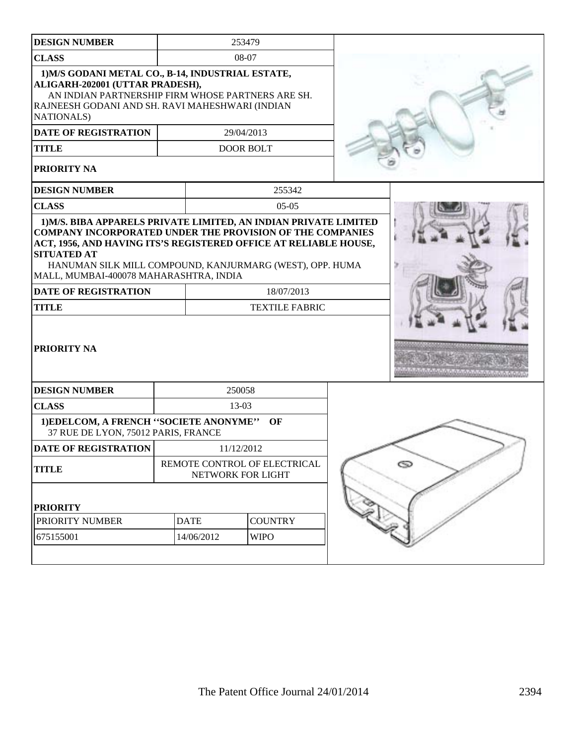| <b>DESIGN NUMBER</b>                                                                                                                                                                                                                                                                                                                 | 253479                                            |                               |                       |  |   |
|--------------------------------------------------------------------------------------------------------------------------------------------------------------------------------------------------------------------------------------------------------------------------------------------------------------------------------------|---------------------------------------------------|-------------------------------|-----------------------|--|---|
| <b>CLASS</b>                                                                                                                                                                                                                                                                                                                         |                                                   |                               | 08-07                 |  |   |
| 1) M/S GODANI METAL CO., B-14, INDUSTRIAL ESTATE,<br>ALIGARH-202001 (UTTAR PRADESH),<br>AN INDIAN PARTNERSHIP FIRM WHOSE PARTNERS ARE SH.<br>RAJNEESH GODANI AND SH. RAVI MAHESHWARI (INDIAN<br><b>NATIONALS</b> )<br><b>DATE OF REGISTRATION</b><br>29/04/2013<br><b>TITLE</b><br><b>DOOR BOLT</b><br>PRIORITY NA                   |                                                   |                               |                       |  |   |
| <b>DESIGN NUMBER</b>                                                                                                                                                                                                                                                                                                                 |                                                   |                               | 255342                |  |   |
| <b>CLASS</b>                                                                                                                                                                                                                                                                                                                         |                                                   |                               | $05-05$               |  |   |
| 1) M/S. BIBA APPARELS PRIVATE LIMITED, AN INDIAN PRIVATE LIMITED<br><b>COMPANY INCORPORATED UNDER THE PROVISION OF THE COMPANIES</b><br>ACT, 1956, AND HAVING ITS'S REGISTERED OFFICE AT RELIABLE HOUSE,<br><b>SITUATED AT</b><br>HANUMAN SILK MILL COMPOUND, KANJURMARG (WEST), OPP. HUMA<br>MALL, MUMBAI-400078 MAHARASHTRA, INDIA |                                                   |                               |                       |  |   |
| <b>DATE OF REGISTRATION</b>                                                                                                                                                                                                                                                                                                          |                                                   | 18/07/2013                    |                       |  |   |
| <b>TITLE</b>                                                                                                                                                                                                                                                                                                                         |                                                   |                               | <b>TEXTILE FABRIC</b> |  |   |
| PRIORITY NA                                                                                                                                                                                                                                                                                                                          |                                                   |                               |                       |  |   |
| <b>DESIGN NUMBER</b>                                                                                                                                                                                                                                                                                                                 |                                                   |                               | 250058                |  |   |
| <b>CLASS</b>                                                                                                                                                                                                                                                                                                                         |                                                   |                               | 13-03                 |  |   |
| 1) EDELCOM, A FRENCH "SOCIETE ANONYME"<br>37 RUE DE LYON, 75012 PARIS, FRANCE                                                                                                                                                                                                                                                        |                                                   |                               | OF                    |  |   |
| <b>DATE OF REGISTRATION</b>                                                                                                                                                                                                                                                                                                          |                                                   |                               | 11/12/2012            |  |   |
| <b>TITLE</b>                                                                                                                                                                                                                                                                                                                         | REMOTE CONTROL OF ELECTRICAL<br>NETWORK FOR LIGHT |                               |                       |  | O |
| <b>PRIORITY</b>                                                                                                                                                                                                                                                                                                                      |                                                   |                               |                       |  |   |
| PRIORITY NUMBER                                                                                                                                                                                                                                                                                                                      |                                                   | <b>DATE</b><br><b>COUNTRY</b> |                       |  |   |
| 675155001                                                                                                                                                                                                                                                                                                                            | 14/06/2012<br><b>WIPO</b>                         |                               |                       |  |   |
|                                                                                                                                                                                                                                                                                                                                      |                                                   |                               |                       |  |   |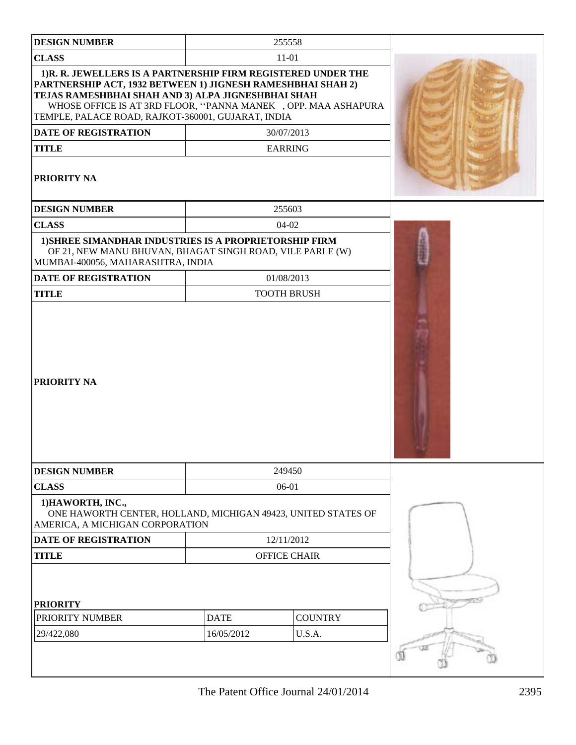| <b>DESIGN NUMBER</b>                                                                                                                                                                                                                                                                                                                                      |                           | 255558                       |  |
|-----------------------------------------------------------------------------------------------------------------------------------------------------------------------------------------------------------------------------------------------------------------------------------------------------------------------------------------------------------|---------------------------|------------------------------|--|
| <b>CLASS</b>                                                                                                                                                                                                                                                                                                                                              |                           | $11 - 01$                    |  |
| 1) R. R. JEWELLERS IS A PARTNERSHIP FIRM REGISTERED UNDER THE<br>PARTNERSHIP ACT, 1932 BETWEEN 1) JIGNESH RAMESHBHAI SHAH 2)<br>TEJAS RAMESHBHAI SHAH AND 3) ALPA JIGNESHBHAI SHAH<br>WHOSE OFFICE IS AT 3RD FLOOR, "PANNA MANEK , OPP. MAA ASHAPURA<br>TEMPLE, PALACE ROAD, RAJKOT-360001, GUJARAT, INDIA<br><b>DATE OF REGISTRATION</b><br><b>TITLE</b> |                           | 30/07/2013<br><b>EARRING</b> |  |
| <b>PRIORITY NA</b>                                                                                                                                                                                                                                                                                                                                        |                           |                              |  |
| <b>DESIGN NUMBER</b>                                                                                                                                                                                                                                                                                                                                      |                           | 255603                       |  |
| <b>CLASS</b>                                                                                                                                                                                                                                                                                                                                              |                           | $04-02$                      |  |
| 1) SHREE SIMANDHAR INDUSTRIES IS A PROPRIETORSHIP FIRM<br>OF 21, NEW MANU BHUVAN, BHAGAT SINGH ROAD, VILE PARLE (W)<br>MUMBAI-400056, MAHARASHTRA, INDIA                                                                                                                                                                                                  |                           |                              |  |
| <b>DATE OF REGISTRATION</b>                                                                                                                                                                                                                                                                                                                               |                           | 01/08/2013                   |  |
| <b>TITLE</b>                                                                                                                                                                                                                                                                                                                                              |                           | <b>TOOTH BRUSH</b>           |  |
| <b>PRIORITY NA</b>                                                                                                                                                                                                                                                                                                                                        |                           |                              |  |
| <b>DESIGN NUMBER</b>                                                                                                                                                                                                                                                                                                                                      |                           | 249450                       |  |
| <b>CLASS</b>                                                                                                                                                                                                                                                                                                                                              |                           | 06-01                        |  |
| 1) HAWORTH, INC.,<br>ONE HAWORTH CENTER, HOLLAND, MICHIGAN 49423, UNITED STATES OF<br>AMERICA, A MICHIGAN CORPORATION                                                                                                                                                                                                                                     |                           |                              |  |
| <b>DATE OF REGISTRATION</b>                                                                                                                                                                                                                                                                                                                               |                           | 12/11/2012                   |  |
| <b>TITLE</b>                                                                                                                                                                                                                                                                                                                                              |                           | <b>OFFICE CHAIR</b>          |  |
| <b>PRIORITY</b><br>PRIORITY NUMBER                                                                                                                                                                                                                                                                                                                        | <b>DATE</b><br>16/05/2012 | <b>COUNTRY</b>               |  |
| 29/422,080                                                                                                                                                                                                                                                                                                                                                |                           | U.S.A.                       |  |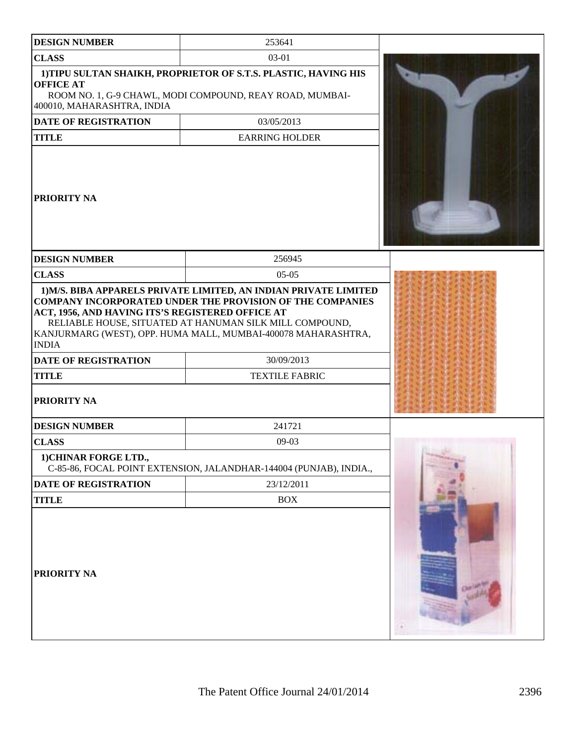| <b>DESIGN NUMBER</b>                                                                                                           | 253641                                                                                                                                                                                                                                                                                                  |  |
|--------------------------------------------------------------------------------------------------------------------------------|---------------------------------------------------------------------------------------------------------------------------------------------------------------------------------------------------------------------------------------------------------------------------------------------------------|--|
| <b>CLASS</b>                                                                                                                   | 03-01                                                                                                                                                                                                                                                                                                   |  |
|                                                                                                                                |                                                                                                                                                                                                                                                                                                         |  |
| <b>OFFICE AT</b><br>400010, MAHARASHTRA, INDIA                                                                                 | 1) TIPU SULTAN SHAIKH, PROPRIETOR OF S.T.S. PLASTIC, HAVING HIS<br>ROOM NO. 1, G-9 CHAWL, MODI COMPOUND, REAY ROAD, MUMBAI-                                                                                                                                                                             |  |
| <b>DATE OF REGISTRATION</b>                                                                                                    | 03/05/2013                                                                                                                                                                                                                                                                                              |  |
| <b>TITLE</b>                                                                                                                   | <b>EARRING HOLDER</b>                                                                                                                                                                                                                                                                                   |  |
| <b> PRIORITY NA</b>                                                                                                            |                                                                                                                                                                                                                                                                                                         |  |
| <b>DESIGN NUMBER</b>                                                                                                           | 256945                                                                                                                                                                                                                                                                                                  |  |
| <b>CLASS</b>                                                                                                                   | $05-05$                                                                                                                                                                                                                                                                                                 |  |
| ACT, 1956, AND HAVING ITS'S REGISTERED OFFICE AT<br><b>INDIA</b><br><b>DATE OF REGISTRATION</b><br><b>TITLE</b><br>PRIORITY NA | 1) M/S. BIBA APPARELS PRIVATE LIMITED, AN INDIAN PRIVATE LIMITED<br><b>COMPANY INCORPORATED UNDER THE PROVISION OF THE COMPANIES</b><br>RELIABLE HOUSE, SITUATED AT HANUMAN SILK MILL COMPOUND,<br>KANJURMARG (WEST), OPP. HUMA MALL, MUMBAI-400078 MAHARASHTRA,<br>30/09/2013<br><b>TEXTILE FABRIC</b> |  |
| <b>DESIGN NUMBER</b>                                                                                                           | 241721                                                                                                                                                                                                                                                                                                  |  |
| <b>CLASS</b>                                                                                                                   | $09-03$                                                                                                                                                                                                                                                                                                 |  |
| 1) CHINAR FORGE LTD.,                                                                                                          | C-85-86, FOCAL POINT EXTENSION, JALANDHAR-144004 (PUNJAB), INDIA.,                                                                                                                                                                                                                                      |  |
| DATE OF REGISTRATION                                                                                                           | 23/12/2011                                                                                                                                                                                                                                                                                              |  |
| <b>TITLE</b>                                                                                                                   | <b>BOX</b>                                                                                                                                                                                                                                                                                              |  |
| PRIORITY NA                                                                                                                    |                                                                                                                                                                                                                                                                                                         |  |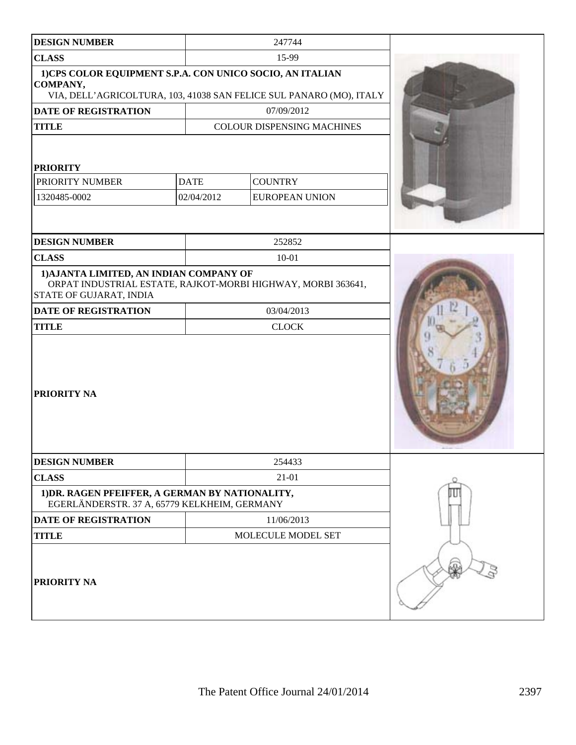| <b>DESIGN NUMBER</b>                                                                                                                        |             | 247744                                                       |  |
|---------------------------------------------------------------------------------------------------------------------------------------------|-------------|--------------------------------------------------------------|--|
| <b>CLASS</b>                                                                                                                                |             | 15-99                                                        |  |
| 1)CPS COLOR EQUIPMENT S.P.A. CON UNICO SOCIO, AN ITALIAN<br>COMPANY,<br>VIA, DELL'AGRICOLTURA, 103, 41038 SAN FELICE SUL PANARO (MO), ITALY |             |                                                              |  |
| <b>DATE OF REGISTRATION</b>                                                                                                                 |             | 07/09/2012                                                   |  |
| <b>TITLE</b>                                                                                                                                |             | <b>COLOUR DISPENSING MACHINES</b>                            |  |
| <b>PRIORITY</b>                                                                                                                             |             |                                                              |  |
| PRIORITY NUMBER                                                                                                                             | <b>DATE</b> | <b>COUNTRY</b>                                               |  |
| 1320485-0002                                                                                                                                | 02/04/2012  | <b>EUROPEAN UNION</b>                                        |  |
|                                                                                                                                             |             |                                                              |  |
| <b>DESIGN NUMBER</b>                                                                                                                        |             | 252852                                                       |  |
| <b>CLASS</b>                                                                                                                                |             | $10 - 01$                                                    |  |
| 1) AJANTA LIMITED, AN INDIAN COMPANY OF<br>STATE OF GUJARAT, INDIA                                                                          |             | ORPAT INDUSTRIAL ESTATE, RAJKOT-MORBI HIGHWAY, MORBI 363641, |  |
| DATE OF REGISTRATION                                                                                                                        |             | 03/04/2013                                                   |  |
| <b>TITLE</b>                                                                                                                                |             | <b>CLOCK</b>                                                 |  |
| PRIORITY NA                                                                                                                                 |             |                                                              |  |
| <b>DESIGN NUMBER</b>                                                                                                                        |             | 254433                                                       |  |
| <b>CLASS</b>                                                                                                                                | 21-01       |                                                              |  |
| 1) DR. RAGEN PFEIFFER, A GERMAN BY NATIONALITY,<br>EGERLÄNDERSTR. 37 A, 65779 KELKHEIM, GERMANY                                             |             |                                                              |  |
| <b>DATE OF REGISTRATION</b>                                                                                                                 |             | 11/06/2013                                                   |  |
| <b>TITLE</b>                                                                                                                                |             |                                                              |  |
| PRIORITY NA                                                                                                                                 |             |                                                              |  |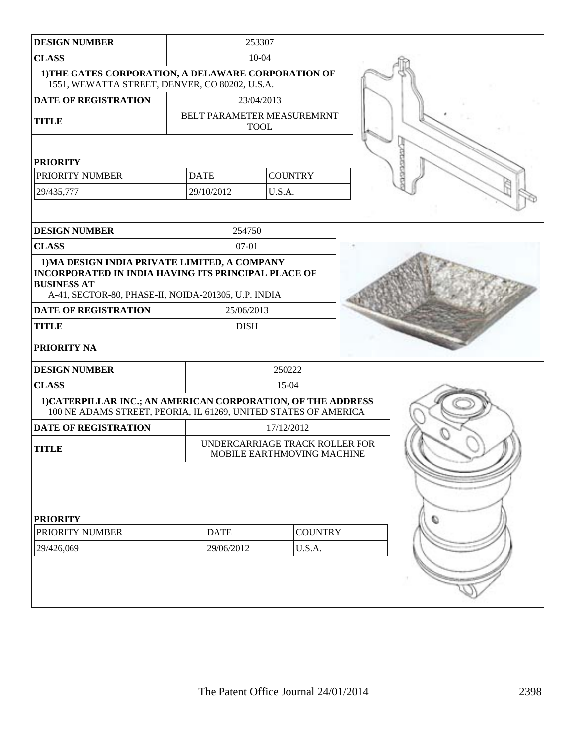| <b>DESIGN NUMBER</b>                                                                                                                                                                     |  |                                           | 253307         |                |  |
|------------------------------------------------------------------------------------------------------------------------------------------------------------------------------------------|--|-------------------------------------------|----------------|----------------|--|
| <b>CLASS</b>                                                                                                                                                                             |  | $10 - 04$                                 |                |                |  |
| 1) THE GATES CORPORATION, A DELAWARE CORPORATION OF<br>1551, WEWATTA STREET, DENVER, CO 80202, U.S.A.                                                                                    |  |                                           |                |                |  |
| <b>DATE OF REGISTRATION</b>                                                                                                                                                              |  | 23/04/2013                                |                |                |  |
| <b>TITLE</b>                                                                                                                                                                             |  | BELT PARAMETER MEASUREMRNT<br><b>TOOL</b> |                |                |  |
| <b>PRIORITY</b>                                                                                                                                                                          |  |                                           |                |                |  |
| PRIORITY NUMBER                                                                                                                                                                          |  | <b>DATE</b>                               | <b>COUNTRY</b> |                |  |
| 29/435,777                                                                                                                                                                               |  | 29/10/2012                                | U.S.A.         |                |  |
|                                                                                                                                                                                          |  |                                           |                |                |  |
| <b>DESIGN NUMBER</b>                                                                                                                                                                     |  | 254750                                    |                |                |  |
| <b>CLASS</b>                                                                                                                                                                             |  | $07-01$                                   |                |                |  |
| 1) MA DESIGN INDIA PRIVATE LIMITED, A COMPANY<br><b>INCORPORATED IN INDIA HAVING ITS PRINCIPAL PLACE OF</b><br><b>BUSINESS AT</b><br>A-41, SECTOR-80, PHASE-II, NOIDA-201305, U.P. INDIA |  |                                           |                |                |  |
| <b>DATE OF REGISTRATION</b>                                                                                                                                                              |  | 25/06/2013                                |                |                |  |
| <b>TITLE</b>                                                                                                                                                                             |  | <b>DISH</b>                               |                |                |  |
| <b>PRIORITY NA</b>                                                                                                                                                                       |  |                                           |                |                |  |
| <b>DESIGN NUMBER</b>                                                                                                                                                                     |  |                                           | 250222         |                |  |
| <b>CLASS</b>                                                                                                                                                                             |  |                                           | 15-04          |                |  |
| 1) CATERPILLAR INC.; AN AMERICAN CORPORATION, OF THE ADDRESS<br>100 NE ADAMS STREET, PEORIA, IL 61269, UNITED STATES OF AMERICA                                                          |  |                                           |                |                |  |
| <b>DATE OF REGISTRATION</b>                                                                                                                                                              |  |                                           | 17/12/2012     |                |  |
| UNDERCARRIAGE TRACK ROLLER FOR<br><b>TITLE</b><br>MOBILE EARTHMOVING MACHINE                                                                                                             |  |                                           |                |                |  |
| <b>PRIORITY</b>                                                                                                                                                                          |  |                                           |                |                |  |
| PRIORITY NUMBER                                                                                                                                                                          |  | <b>DATE</b>                               |                | <b>COUNTRY</b> |  |
| 29/426,069                                                                                                                                                                               |  | 29/06/2012                                |                | U.S.A.         |  |
|                                                                                                                                                                                          |  |                                           |                |                |  |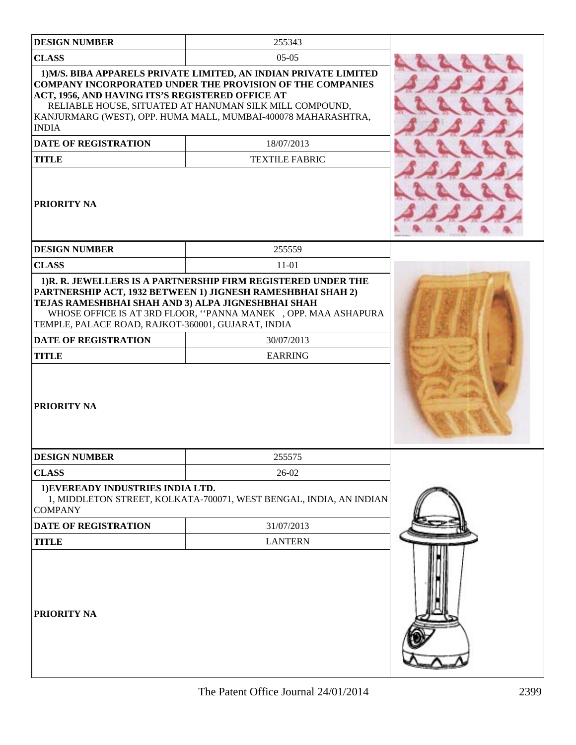| <b>DESIGN NUMBER</b>                                                                                                    | 255343                                                                                                                                                                                                                                                                         |
|-------------------------------------------------------------------------------------------------------------------------|--------------------------------------------------------------------------------------------------------------------------------------------------------------------------------------------------------------------------------------------------------------------------------|
| <b>CLASS</b>                                                                                                            | $05-05$                                                                                                                                                                                                                                                                        |
| ACT, 1956, AND HAVING ITS'S REGISTERED OFFICE AT<br><b>INDIA</b><br>DATE OF REGISTRATION                                | 1) M/S. BIBA APPARELS PRIVATE LIMITED, AN INDIAN PRIVATE LIMITED<br><b>COMPANY INCORPORATED UNDER THE PROVISION OF THE COMPANIES</b><br>RELIABLE HOUSE, SITUATED AT HANUMAN SILK MILL COMPOUND,<br>KANJURMARG (WEST), OPP. HUMA MALL, MUMBAI-400078 MAHARASHTRA,<br>18/07/2013 |
| <b>TITLE</b>                                                                                                            | <b>TEXTILE FABRIC</b>                                                                                                                                                                                                                                                          |
| <b>PRIORITY NA</b>                                                                                                      |                                                                                                                                                                                                                                                                                |
| <b>DESIGN NUMBER</b>                                                                                                    | 255559                                                                                                                                                                                                                                                                         |
| <b>CLASS</b>                                                                                                            | $11 - 01$                                                                                                                                                                                                                                                                      |
| TEMPLE, PALACE ROAD, RAJKOT-360001, GUJARAT, INDIA<br><b>DATE OF REGISTRATION</b><br><b>TITLE</b><br><b>PRIORITY NA</b> | WHOSE OFFICE IS AT 3RD FLOOR, "PANNA MANEK , OPP. MAA ASHAPURA<br>30/07/2013<br><b>EARRING</b>                                                                                                                                                                                 |
| <b>DESIGN NUMBER</b><br><b>CLASS</b>                                                                                    | 255575<br>26-02                                                                                                                                                                                                                                                                |
| 1) EVEREADY INDUSTRIES INDIA LTD.<br><b>COMPANY</b>                                                                     | 1, MIDDLETON STREET, KOLKATA-700071, WEST BENGAL, INDIA, AN INDIAN                                                                                                                                                                                                             |
| <b>DATE OF REGISTRATION</b>                                                                                             | 31/07/2013                                                                                                                                                                                                                                                                     |
| <b>TITLE</b>                                                                                                            | <b>LANTERN</b>                                                                                                                                                                                                                                                                 |
| <b>PRIORITY NA</b>                                                                                                      |                                                                                                                                                                                                                                                                                |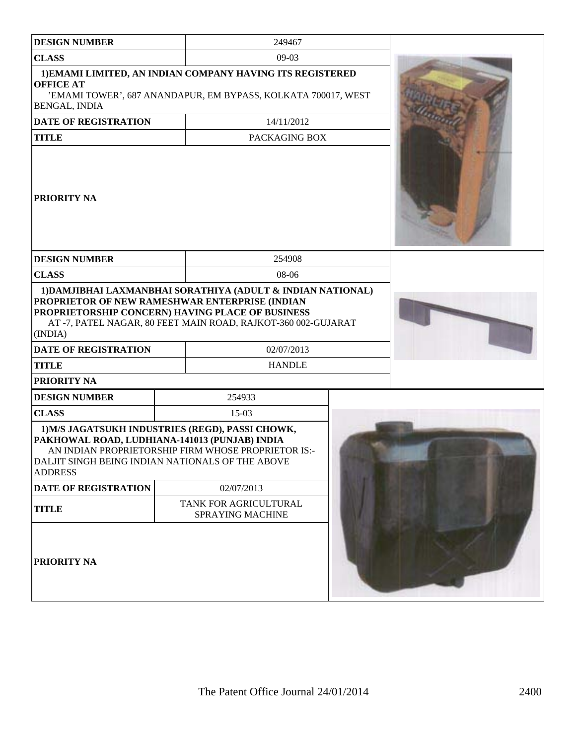| <b>DESIGN NUMBER</b>                                                                                                                                                    | 249467                                                                                                                                                                                        |  |  |
|-------------------------------------------------------------------------------------------------------------------------------------------------------------------------|-----------------------------------------------------------------------------------------------------------------------------------------------------------------------------------------------|--|--|
| <b>CLASS</b>                                                                                                                                                            | $09-03$                                                                                                                                                                                       |  |  |
| <b>OFFICE AT</b><br>BENGAL, INDIA                                                                                                                                       | 1) EMAMI LIMITED, AN INDIAN COMPANY HAVING ITS REGISTERED<br>'EMAMI TOWER', 687 ANANDAPUR, EM BYPASS, KOLKATA 700017, WEST                                                                    |  |  |
| DATE OF REGISTRATION                                                                                                                                                    | 14/11/2012                                                                                                                                                                                    |  |  |
| <b>TITLE</b>                                                                                                                                                            | PACKAGING BOX                                                                                                                                                                                 |  |  |
| <b>PRIORITY NA</b>                                                                                                                                                      |                                                                                                                                                                                               |  |  |
| <b>DESIGN NUMBER</b>                                                                                                                                                    | 254908                                                                                                                                                                                        |  |  |
| <b>CLASS</b>                                                                                                                                                            | 08-06                                                                                                                                                                                         |  |  |
| PROPRIETOR OF NEW RAMESHWAR ENTERPRISE (INDIAN<br>(INDIA)<br><b>DATE OF REGISTRATION</b>                                                                                | 1) DAMJIBHAI LAXMANBHAI SORATHIYA (ADULT & INDIAN NATIONAL)<br>PROPRIETORSHIP CONCERN) HAVING PLACE OF BUSINESS<br>AT-7, PATEL NAGAR, 80 FEET MAIN ROAD, RAJKOT-360 002-GUJARAT<br>02/07/2013 |  |  |
| <b>TITLE</b>                                                                                                                                                            | <b>HANDLE</b>                                                                                                                                                                                 |  |  |
| <b>PRIORITY NA</b>                                                                                                                                                      |                                                                                                                                                                                               |  |  |
| <b>DESIGN NUMBER</b>                                                                                                                                                    | 254933                                                                                                                                                                                        |  |  |
| <b>CLASS</b>                                                                                                                                                            | $15-03$                                                                                                                                                                                       |  |  |
| 1) M/S JAGATSUKH INDUSTRIES (REGD), PASSI CHOWK,<br>PAKHOWAL ROAD, LUDHIANA-141013 (PUNJAB) INDIA<br>DALJIT SINGH BEING INDIAN NATIONALS OF THE ABOVE<br><b>ADDRESS</b> | AN INDIAN PROPRIETORSHIP FIRM WHOSE PROPRIETOR IS:-                                                                                                                                           |  |  |
| <b>DATE OF REGISTRATION</b>                                                                                                                                             | 02/07/2013                                                                                                                                                                                    |  |  |
| <b>TITLE</b>                                                                                                                                                            | TANK FOR AGRICULTURAL<br><b>SPRAYING MACHINE</b>                                                                                                                                              |  |  |
| <b>PRIORITY NA</b>                                                                                                                                                      |                                                                                                                                                                                               |  |  |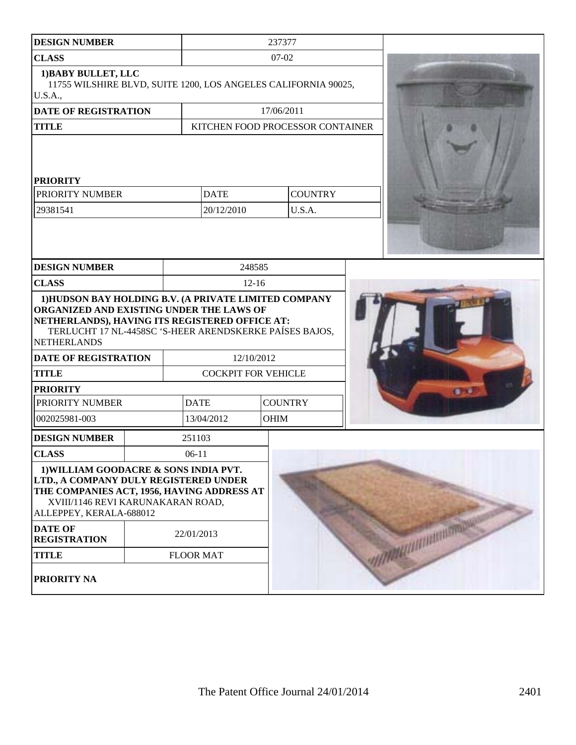| <b>DESIGN NUMBER</b>                                                                                                                                                                                                                  |  |                            | 237377      |                                  |                          |
|---------------------------------------------------------------------------------------------------------------------------------------------------------------------------------------------------------------------------------------|--|----------------------------|-------------|----------------------------------|--------------------------|
| <b>CLASS</b>                                                                                                                                                                                                                          |  | $07-02$                    |             |                                  |                          |
| 1) BABY BULLET, LLC<br>11755 WILSHIRE BLVD, SUITE 1200, LOS ANGELES CALIFORNIA 90025,<br>U.S.A.,                                                                                                                                      |  |                            |             |                                  |                          |
| DATE OF REGISTRATION                                                                                                                                                                                                                  |  |                            | 17/06/2011  |                                  |                          |
| <b>TITLE</b>                                                                                                                                                                                                                          |  |                            |             | KITCHEN FOOD PROCESSOR CONTAINER |                          |
| <b>PRIORITY</b><br>PRIORITY NUMBER<br>29381541                                                                                                                                                                                        |  | <b>DATE</b><br>20/12/2010  |             | <b>COUNTRY</b><br>U.S.A.         |                          |
| <b>DESIGN NUMBER</b>                                                                                                                                                                                                                  |  |                            | 248585      |                                  |                          |
| <b>CLASS</b>                                                                                                                                                                                                                          |  |                            | $12-16$     |                                  |                          |
| ORGANIZED AND EXISTING UNDER THE LAWS OF<br>NETHERLANDS), HAVING ITS REGISTERED OFFICE AT:<br>TERLUCHT 17 NL-4458SC 'S-HEER ARENDSKERKE PAÍSES BAJOS,<br><b>NETHERLANDS</b><br><b>DATE OF REGISTRATION</b><br><b>TITLE</b>            |  | <b>COCKPIT FOR VEHICLE</b> | 12/10/2012  |                                  |                          |
| <b>PRIORITY</b>                                                                                                                                                                                                                       |  |                            |             |                                  |                          |
| PRIORITY NUMBER                                                                                                                                                                                                                       |  | <b>DATE</b>                |             | <b>COUNTRY</b>                   |                          |
| 002025981-003                                                                                                                                                                                                                         |  | 13/04/2012                 | <b>OHIM</b> |                                  |                          |
| <b>DESIGN NUMBER</b>                                                                                                                                                                                                                  |  | 251103                     |             |                                  |                          |
| <b>CLASS</b>                                                                                                                                                                                                                          |  | $06-11$                    |             |                                  |                          |
| 1) WILLIAM GOODACRE & SONS INDIA PVT.<br>LTD., A COMPANY DULY REGISTERED UNDER<br>THE COMPANIES ACT, 1956, HAVING ADDRESS AT<br>XVIII/1146 REVI KARUNAKARAN ROAD,<br>ALLEPPEY, KERALA-688012<br><b>DATE OF</b><br><b>REGISTRATION</b> |  | 22/01/2013                 |             |                                  | <b>WARMANISHIRETTOWN</b> |
| <b>TITLE</b>                                                                                                                                                                                                                          |  | <b>FLOOR MAT</b>           |             |                                  |                          |
| PRIORITY NA                                                                                                                                                                                                                           |  |                            |             |                                  |                          |